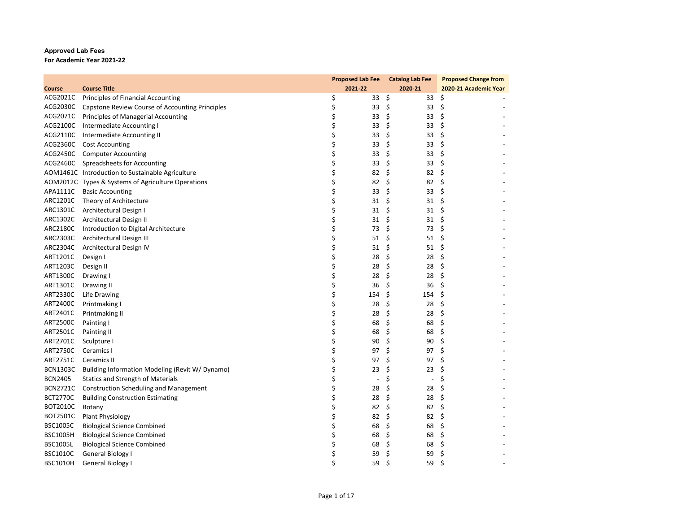## **Approved Lab Fees For Academic Year 2021‐22**

|                 |                                                    |         |                      | Proposed Lab Fee Catalog Lab Fee | <b>Proposed Change from</b> |
|-----------------|----------------------------------------------------|---------|----------------------|----------------------------------|-----------------------------|
| Course          | <b>Course Title</b>                                | 2021-22 |                      | 2020-21                          | 2020-21 Academic Year       |
|                 | ACG2021C Principles of Financial Accounting        | \$      | \$<br>33             | 33                               | \$                          |
| ACG2030C        | Capstone Review Course of Accounting Principles    | \$      | \$<br>33             | 33                               | \$                          |
|                 | ACG2071C Principles of Managerial Accounting       | \$      | \$<br>33             | 33                               | \$                          |
| ACG2100C        | Intermediate Accounting I                          | \$      | 33<br>\$             | 33                               | \$                          |
| ACG2110C        | Intermediate Accounting II                         | \$      | \$<br>33             | 33                               | \$                          |
|                 | ACG2360C Cost Accounting                           | \$      | 33<br>\$             | 33                               | \$                          |
|                 | ACG2450C Computer Accounting                       | \$      | 33<br>\$             | 33                               | \$                          |
|                 | ACG2460C Spreadsheets for Accounting               | \$      | 33<br>\$             | 33                               | \$                          |
|                 | AOM1461C Introduction to Sustainable Agriculture   | \$      | 82<br>\$             | 82                               | \$                          |
|                 | AOM2012C Types & Systems of Agriculture Operations | \$      | 82<br>\$             | 82                               | \$                          |
|                 | APA1111C Basic Accounting                          | \$      | 33<br>\$             | 33                               | \$                          |
| ARC1201C        | Theory of Architecture                             | \$      | \$<br>31             | 31                               | \$                          |
| ARC1301C        | Architectural Design I                             | \$      | \$<br>31             | 31                               | \$                          |
| ARC1302C        | Architectural Design II                            | \$      | \$<br>31             | 31                               | \$                          |
| ARC2180C        | Introduction to Digital Architecture               | \$      | \$<br>73             | 73                               | \$                          |
| ARC2303C        | Architectural Design III                           | \$      | 51<br>\$             | 51                               | \$                          |
| ARC2304C        | Architectural Design IV                            | \$      | 51<br>\$             | 51                               | \$                          |
| ART1201C        | Design I                                           | \$      | 28<br>\$             | 28                               | \$                          |
| ART1203C        | Design II                                          | \$      | 28<br>\$             | 28                               | \$                          |
| ART1300C        | Drawing I                                          | \$      | \$<br>28             | 28                               | \$                          |
| ART1301C        | Drawing II                                         | \$      | \$<br>36             | 36                               | Ŝ.                          |
| ART2330C        | Life Drawing                                       | \$      | \$<br>154            | 154                              | \$                          |
| ART2400C        | Printmaking I                                      | \$      | \$<br>28             | 28                               | \$                          |
| ART2401C        | Printmaking II                                     | \$      | 28<br>\$             | 28                               | \$                          |
| <b>ART2500C</b> | Painting I                                         | \$      | \$<br>68             | 68                               | \$                          |
| ART2501C        | Painting II                                        | \$      | \$<br>68             | 68                               | \$                          |
| ART2701C        | Sculpture I                                        | \$      | \$<br>90             | 90                               | \$                          |
| <b>ART2750C</b> | Ceramics I                                         | \$      | \$<br>97             | 97                               | \$                          |
| ART2751C        | Ceramics II                                        | \$      | 97<br>\$             | 97                               | \$                          |
| <b>BCN1303C</b> | Building Information Modeling (Revit W/ Dynamo)    | \$      | 23<br>\$             | 23                               | \$                          |
| <b>BCN2405</b>  | <b>Statics and Strength of Materials</b>           | \$      | \$<br>$\overline{a}$ | $\overline{\phantom{a}}$         | \$                          |
| <b>BCN2721C</b> | <b>Construction Scheduling and Management</b>      | \$      | \$<br>28             | 28                               | \$                          |
| <b>BCT2770C</b> | <b>Building Construction Estimating</b>            | \$      | \$<br>28             | 28                               | \$                          |
| BOT2010C        | Botany                                             | \$      | 82<br>\$             | 82                               | \$                          |
| BOT2501C        | <b>Plant Physiology</b>                            | \$      | \$<br>82             | 82                               | -\$                         |
| <b>BSC1005C</b> | <b>Biological Science Combined</b>                 | \$      | 68<br>\$             | 68                               | \$                          |
| <b>BSC1005H</b> | <b>Biological Science Combined</b>                 | \$      | \$<br>68             | 68                               | \$                          |
| <b>BSC1005L</b> | <b>Biological Science Combined</b>                 | \$      | \$<br>68             | 68                               | \$                          |
| <b>BSC1010C</b> | <b>General Biology I</b>                           | \$      | 59<br>\$             | 59                               | \$                          |
| <b>BSC1010H</b> | General Biology I                                  | Ś       | Ś<br>59              | 59                               | Ś                           |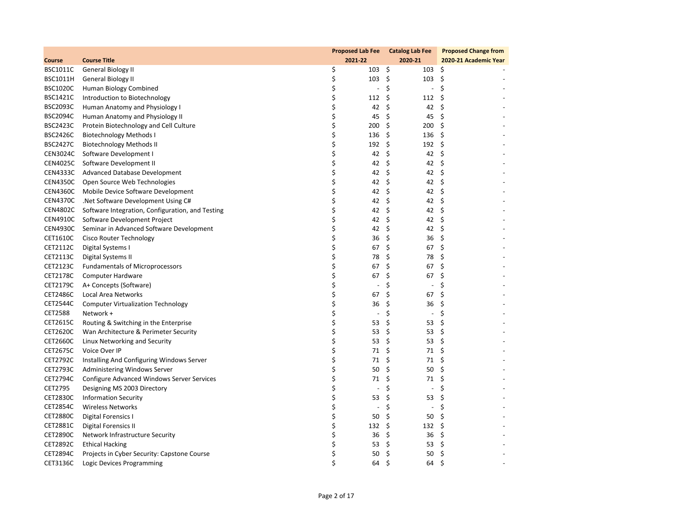|                 |                                                  | Proposed Lab Fee Catalog Lab Fee |    |                          |                    | <b>Proposed Change from</b> |
|-----------------|--------------------------------------------------|----------------------------------|----|--------------------------|--------------------|-----------------------------|
| Course          | <b>Course Title</b>                              | 2021-22                          |    | 2020-21                  |                    | 2020-21 Academic Year       |
| BSC1011C        | General Biology II                               | \$<br>$103 \quad 5$              |    | $103 \quad $$            |                    |                             |
| <b>BSC1011H</b> | General Biology II                               | \$<br>$103 \quad $$              |    | 103                      | - \$               |                             |
| <b>BSC1020C</b> | Human Biology Combined                           | \$<br>$\overline{\phantom{a}}$   | \$ | $\overline{\phantom{a}}$ | \$                 |                             |
| <b>BSC1421C</b> | Introduction to Biotechnology                    | \$<br>$112 \; \xi$               |    | 112                      | \$                 |                             |
| <b>BSC2093C</b> | Human Anatomy and Physiology I                   | \$<br>42                         | \$ | 42                       | \$                 |                             |
| <b>BSC2094C</b> | Human Anatomy and Physiology II                  | \$<br>45                         | \$ | 45                       | - \$               |                             |
| <b>BSC2423C</b> | Protein Biotechnology and Cell Culture           | \$<br>\$ 200                     |    | 200                      | \$                 |                             |
| <b>BSC2426C</b> | <b>Biotechnology Methods I</b>                   | \$<br>136                        | \$ | 136                      | \$                 |                             |
| <b>BSC2427C</b> | <b>Biotechnology Methods II</b>                  | \$<br>192                        | \$ | 192                      | \$                 |                             |
| <b>CEN3024C</b> | Software Development I                           | \$<br>42                         | \$ | 42                       | \$                 |                             |
| CEN4025C        | Software Development II                          | \$<br>42                         | \$ | 42                       | \$                 |                             |
| <b>CEN4333C</b> | <b>Advanced Database Development</b>             | \$<br>42                         | \$ | 42                       | \$                 |                             |
| <b>CEN4350C</b> | Open Source Web Technologies                     | \$<br>42 \$                      |    | 42                       | $\ddot{\varsigma}$ |                             |
| <b>CEN4360C</b> | Mobile Device Software Development               | \$<br>42                         | \$ | 42                       | \$                 |                             |
| <b>CEN4370C</b> | .Net Software Development Using C#               | \$<br>42                         | \$ | 42                       | \$                 |                             |
| <b>CEN4802C</b> | Software Integration, Configuration, and Testing | \$<br>42                         | \$ | 42 \$                    |                    |                             |
| <b>CEN4910C</b> | Software Development Project                     | \$<br>42                         | \$ | 42                       | \$                 |                             |
| <b>CEN4930C</b> | Seminar in Advanced Software Development         | \$<br>42                         | \$ | 42                       | \$                 |                             |
| CET1610C        | Cisco Router Technology                          | \$<br>36                         | \$ | 36                       | - \$               |                             |
| CET2112C        | Digital Systems I                                | \$<br>67                         | \$ | 67                       | \$                 |                             |
| CET2113C        | Digital Systems II                               | \$<br>78                         | \$ | 78                       | \$                 |                             |
| CET2123C        | <b>Fundamentals of Microprocessors</b>           | \$<br>67                         | \$ | 67                       | \$                 |                             |
| CET2178C        | Computer Hardware                                | \$<br>67                         | \$ | 67                       | \$                 |                             |
| CET2179C        | A+ Concepts (Software)                           | \$<br>$\blacksquare$             | \$ | $\overline{\phantom{a}}$ | \$                 |                             |
| CET2486C        | Local Area Networks                              | \$<br>67                         | \$ | 67                       | \$                 |                             |
| CET2544C        | <b>Computer Virtualization Technology</b>        | \$<br>36                         | \$ | 36                       | \$                 |                             |
| CET2588         | Network +                                        | \$<br>$\overline{\phantom{a}}$   | \$ | $\overline{\phantom{a}}$ | \$                 |                             |
| CET2615C        | Routing & Switching in the Enterprise            | \$<br>53                         | \$ | 53                       | \$                 |                             |
| CET2620C        | Wan Architecture & Perimeter Security            | \$<br>53                         | \$ | 53                       | \$                 |                             |
| CET2660C        | Linux Networking and Security                    | \$<br>53                         | \$ | 53                       | \$                 |                             |
| CET2675C        | Voice Over IP                                    | \$<br>71                         | \$ | 71                       | \$                 |                             |
| CET2792C        | Installing And Configuring Windows Server        | \$<br>71                         | \$ | 71                       | \$                 |                             |
| <b>CET2793C</b> | Administering Windows Server                     | \$<br>50                         | \$ | 50                       | \$                 |                             |
| CET2794C        | Configure Advanced Windows Server Services       | \$<br>71                         | \$ | 71                       | \$                 |                             |
| CET2795         | Designing MS 2003 Directory                      | \$<br>$\blacksquare$             | \$ | $\overline{\phantom{a}}$ | \$                 |                             |
| <b>CET2830C</b> | <b>Information Security</b>                      | \$<br>53                         | \$ | 53                       | \$                 |                             |
| <b>CET2854C</b> | <b>Wireless Networks</b>                         | \$<br>$\overline{\phantom{a}}$   | \$ | $\overline{\phantom{a}}$ | \$                 |                             |
| <b>CET2880C</b> | Digital Forensics I                              | \$<br>50                         | \$ | 50                       | \$                 |                             |
| CET2881C        | <b>Digital Forensics II</b>                      | \$<br>132                        | \$ | 132                      | - \$               |                             |
| <b>CET2890C</b> | Network Infrastructure Security                  | \$<br>36                         | \$ | 36                       | \$                 |                             |
| CET2892C        | <b>Ethical Hacking</b>                           | \$<br>53                         | \$ | 53                       | \$                 |                             |
| CET2894C        | Projects in Cyber Security: Capstone Course      | \$<br>50                         | \$ | 50                       | \$                 |                             |
| CET3136C        | Logic Devices Programming                        | \$<br>64                         | Ś. | 64                       | Ś                  |                             |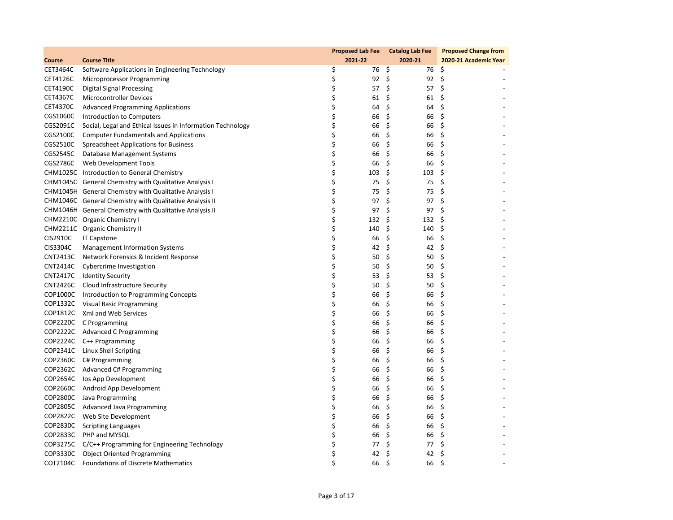|                 |                                                            | Proposed Lab Fee Catalog Lab Fee |               |      | <b>Proposed Change from</b> |
|-----------------|------------------------------------------------------------|----------------------------------|---------------|------|-----------------------------|
| Course          | <b>Course Title</b>                                        | 2021-22                          | 2020-21       |      | 2020-21 Academic Year       |
| CET3464C        | Software Applications in Engineering Technology            | \$<br>76 Ş                       | 76\$          |      |                             |
| CET4126C        | Microprocessor Programming                                 | \$<br>$92 \quad $$               | 92            | \$   |                             |
| CET4190C        | <b>Digital Signal Processing</b>                           | \$<br>57                         | \$<br>57      | - \$ |                             |
| CET4367C        | <b>Microcontroller Devices</b>                             | \$<br>$61 \;$ \$                 | $61 \quad $5$ |      |                             |
| CET4370C        | <b>Advanced Programming Applications</b>                   | \$<br>64                         | \$<br>64      | \$   |                             |
| CGS1060C        | Introduction to Computers                                  | \$<br>66                         | \$<br>66      | \$   |                             |
| CGS2091C        | Social, Legal and Ethical Issues in Information Technology | \$<br>66                         | \$<br>66      | \$   |                             |
| CGS2100C        | <b>Computer Fundamentals and Applications</b>              | \$<br>66                         | \$<br>66      | \$   |                             |
| CGS2510C        | Spreadsheet Applications for Business                      | \$<br>66                         | \$<br>66      | \$   |                             |
| CGS2545C        | Database Management Systems                                | \$<br>66                         | \$<br>66      | \$   |                             |
| CGS2786C        | Web Development Tools                                      | \$<br>66                         | \$<br>66      | \$   |                             |
|                 | CHM1025C Introduction to General Chemistry                 | \$<br>103                        | \$<br>103     | \$   |                             |
|                 | CHM1045C General Chemistry with Qualitative Analysis I     | \$<br>75                         | \$<br>75      | \$   |                             |
|                 | CHM1045H General Chemistry with Qualitative Analysis I     | \$<br>75                         | \$<br>75      | \$   |                             |
|                 | CHM1046C General Chemistry with Qualitative Analysis II    | \$<br>97                         | \$<br>97      | \$   |                             |
|                 | CHM1046H General Chemistry with Qualitative Analysis II    | \$<br>97                         | \$<br>97      | \$   |                             |
|                 | CHM2210C Organic Chemistry I                               | \$<br>132                        | \$<br>132     | \$   |                             |
|                 | CHM2211C Organic Chemistry II                              | \$<br>140                        | \$<br>140     | \$   |                             |
| CIS2910C        | <b>IT Capstone</b>                                         | \$<br>66                         | \$<br>66      | \$   |                             |
| CIS3304C        | <b>Management Information Systems</b>                      | \$<br>42                         | \$<br>42      | \$   |                             |
| <b>CNT2413C</b> | Network Forensics & Incident Response                      | \$<br>50                         | \$<br>50      | \$   |                             |
| <b>CNT2414C</b> | Cybercrime Investigation                                   | \$<br>50                         | \$<br>50      | \$   |                             |
|                 | CNT2417C Identity Security                                 | \$<br>53                         | \$<br>53      | \$   |                             |
| <b>CNT2426C</b> | Cloud Infrastructure Security                              | \$<br>50                         | \$<br>50      | \$   |                             |
|                 | COP1000C Introduction to Programming Concepts              | \$<br>66                         | \$<br>66      | \$   |                             |
|                 | COP1332C Visual Basic Programming                          | \$<br>66                         | \$<br>66      | \$   |                             |
|                 | COP1812C Xml and Web Services                              | \$<br>66                         | \$<br>66      | \$   |                             |
|                 | COP2220C C Programming                                     | \$<br>66                         | \$<br>66      | \$   |                             |
|                 | COP2222C Advanced C Programming                            | \$<br>66                         | \$<br>66      | \$   |                             |
|                 | COP2224C C++ Programming                                   | \$<br>66                         | \$<br>66      | \$   |                             |
|                 | COP2341C Linux Shell Scripting                             | \$<br>66                         | \$<br>66      | \$   |                             |
|                 | COP2360C C# Programming                                    | \$<br>66                         | \$<br>66      | \$   |                             |
|                 | COP2362C Advanced C# Programming                           | \$<br>66                         | \$<br>66      | \$   |                             |
|                 | COP2654C los App Development                               | \$<br>66                         | \$<br>66      | \$   |                             |
|                 | COP2660C Android App Development                           | \$<br>66                         | \$<br>66      | \$   |                             |
| COP2800C        | Java Programming                                           | \$<br>66                         | \$<br>66      | \$   |                             |
|                 | COP2805C Advanced Java Programming                         | \$<br>66                         | \$<br>66      | \$   |                             |
|                 | COP2822C Web Site Development                              | \$<br>66                         | \$<br>66      | \$   |                             |
|                 | COP2830C Scripting Languages                               | \$<br>66                         | \$<br>66      | \$   |                             |
|                 | COP2833C PHP and MYSQL                                     | \$<br>66                         | \$<br>66      | \$   |                             |
|                 | COP3275C C/C++ Programming for Engineering Technology      | \$<br>77                         | \$<br>77      | \$   |                             |
|                 | COP3330C Object Oriented Programming                       | \$<br>42                         | \$<br>42      | \$   |                             |
| COT2104C        | <b>Foundations of Discrete Mathematics</b>                 | \$<br>66                         | \$<br>66      | \$   |                             |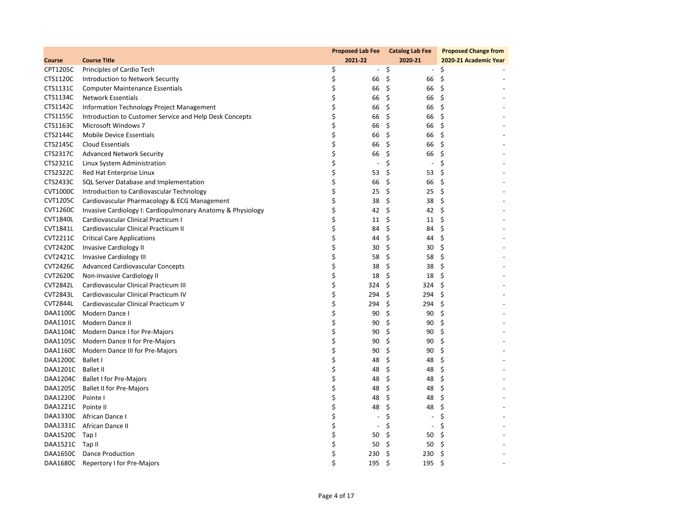|                    |                                                             | <b>Proposed Lab Fee</b>        | <b>Catalog Lab Fee</b>         | <b>Proposed Change from</b> |
|--------------------|-------------------------------------------------------------|--------------------------------|--------------------------------|-----------------------------|
| Course             | <b>Course Title</b>                                         | 2021-22                        | 2020-21                        | 2020-21 Academic Year       |
| CPT1205C           | Principles of Cardio Tech                                   | \$<br>$\blacksquare$           | \$<br>$\overline{\phantom{a}}$ | \$                          |
| CTS1120C           | Introduction to Network Security                            | \$<br>66                       | \$<br>66                       | \$                          |
| CTS1131C           | <b>Computer Maintenance Essentials</b>                      | \$<br>66                       | \$<br>66                       | \$                          |
| CTS1134C           | Network Essentials                                          | \$<br>66                       | \$<br>66                       | \$                          |
| CTS1142C           | Information Technology Project Management                   | \$<br>66                       | \$<br>66                       | \$                          |
| CTS1155C           | Introduction to Customer Service and Help Desk Concepts     | \$<br>66                       | \$<br>66                       | \$                          |
| CTS1163C           | Microsoft Windows 7                                         | \$<br>66                       | \$<br>66                       | \$                          |
| CTS2144C           | <b>Mobile Device Essentials</b>                             | \$<br>66                       | \$<br>66                       | \$                          |
| CTS2145C           | Cloud Essentials                                            | \$<br>66                       | \$<br>66                       | \$                          |
| CTS2317C           | <b>Advanced Network Security</b>                            | \$<br>66                       | \$<br>66                       | \$                          |
| CTS2321C           | Linux System Administration                                 | \$<br>$\overline{\phantom{a}}$ | \$<br>$\overline{\phantom{a}}$ | \$                          |
| CTS2322C           | Red Hat Enterprise Linux                                    | \$<br>53                       | \$<br>53                       | \$                          |
| CTS2433C           | SQL Server Database and Implementation                      | \$<br>66                       | \$<br>66                       | \$                          |
| <b>CVT1000C</b>    | Introduction to Cardiovascular Technology                   | \$<br>25                       | \$<br>25                       | \$                          |
| <b>CVT1205C</b>    | Cardiovascular Pharmacology & ECG Management                | \$<br>38                       | \$<br>38                       | \$                          |
| CVT1260C           | Invasive Cardiology I: Cardiopulmonary Anatomy & Physiology | \$<br>42                       | \$<br>42                       | \$                          |
| <b>CVT1840L</b>    | Cardiovascular Clinical Practicum I                         | \$<br>11                       | \$<br>11                       | \$                          |
| <b>CVT1841L</b>    | Cardiovascular Clinical Practicum II                        | \$<br>84                       | \$<br>84                       | \$                          |
| <b>CVT2211C</b>    | <b>Critical Care Applications</b>                           | \$<br>44                       | \$<br>44                       | \$                          |
| CVT2420C           | <b>Invasive Cardiology II</b>                               | \$<br>30                       | \$<br>30                       | \$                          |
| CVT2421C           | <b>Invasive Cardiology III</b>                              | \$<br>58                       | \$<br>58                       | \$                          |
| <b>CVT2426C</b>    | <b>Advanced Cardiovascular Concepts</b>                     | \$<br>38                       | \$<br>38                       | \$                          |
| CVT2620C           | Non-Invasive Cardiology II                                  | \$<br>18                       | \$<br>18                       | \$                          |
| <b>CVT2842L</b>    | Cardiovascular Clinical Practicum III                       | \$<br>324                      | \$<br>324                      | \$                          |
| <b>CVT2843L</b>    | Cardiovascular Clinical Practicum IV                        | \$<br>294                      | \$<br>294                      | \$                          |
| <b>CVT2844L</b>    | Cardiovascular Clinical Practicum V                         | \$<br>294                      | \$<br>294                      | \$                          |
| DAA1100C           | Modern Dance I                                              | \$<br>90                       | \$<br>90                       | \$                          |
|                    | DAA1101C Modern Dance II                                    | \$<br>90                       | \$<br>90                       | \$                          |
|                    | DAA1104C Modern Dance I for Pre-Majors                      | \$<br>90                       | \$<br>90                       | \$                          |
|                    | DAA1105C Modern Dance II for Pre-Majors                     | \$<br>90                       | \$<br>90                       | \$                          |
|                    | DAA1160C Modern Dance III for Pre-Majors                    | \$<br>90                       | \$<br>90                       | \$                          |
| DAA1200C           | Ballet I                                                    | \$<br>48                       | \$<br>48                       | \$                          |
| DAA1201C Ballet II |                                                             | \$<br>48                       | \$<br>48                       | \$                          |
|                    | DAA1204C Ballet I for Pre-Majors                            | \$<br>48                       | \$<br>48                       | \$                          |
|                    | DAA1205C Ballet II for Pre-Majors                           | \$<br>48                       | \$<br>48                       | \$                          |
| DAA1220C Pointe I  |                                                             | \$<br>48                       | \$<br>48                       | \$                          |
| DAA1221C Pointe II |                                                             | \$<br>48                       | \$<br>48                       | \$                          |
|                    | DAA1330C African Dance I                                    | \$<br>$\overline{\phantom{a}}$ | \$<br>$\overline{a}$           | \$                          |
|                    | DAA1331C African Dance II                                   | \$<br>$\overline{\phantom{a}}$ | \$<br>$\overline{\phantom{a}}$ | \$                          |
| DAA1520C Tap I     |                                                             | \$<br>50                       | \$<br>50                       | \$                          |
| DAA1521C Tap II    |                                                             | \$<br>50                       | \$<br>50                       | \$                          |
|                    | DAA1650C Dance Production                                   | \$<br>230                      | \$<br>230                      | \$                          |
| DAA1680C           | Repertory I for Pre-Majors                                  | \$<br>195                      | \$<br>195                      | \$                          |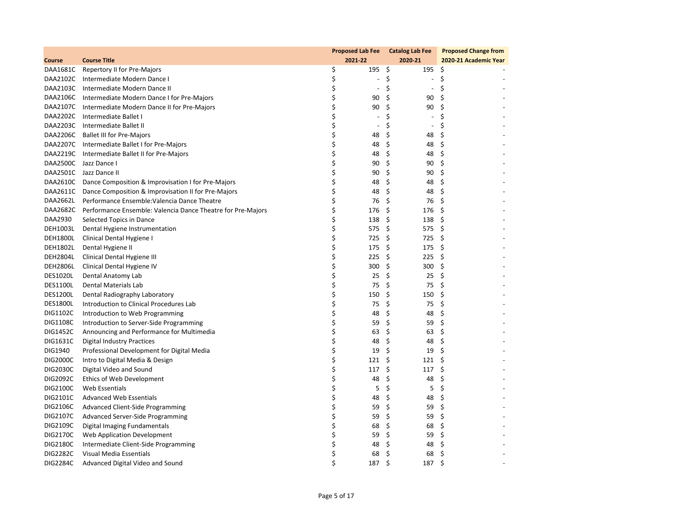|                 |                                                                      | <b>Proposed Lab Fee</b>        | <b>Catalog Lab Fee</b>         | <b>Proposed Change from</b> |
|-----------------|----------------------------------------------------------------------|--------------------------------|--------------------------------|-----------------------------|
| Course          | <b>Course Title</b>                                                  | 2021-22                        | 2020-21                        | 2020-21 Academic Year       |
|                 | DAA1681C Repertory II for Pre-Majors                                 | \$<br>195                      | 195<br>\$                      | \$                          |
|                 | DAA2102C Intermediate Modern Dance I                                 | \$<br>$\overline{\phantom{a}}$ | \$<br>$\overline{\phantom{a}}$ | \$                          |
|                 | DAA2103C Intermediate Modern Dance II                                | \$<br>$\blacksquare$           | \$<br>$\blacksquare$           | \$                          |
|                 | DAA2106C Intermediate Modern Dance I for Pre-Majors                  | \$<br>90                       | \$<br>90                       | \$                          |
|                 | DAA2107C Intermediate Modern Dance II for Pre-Majors                 | \$<br>90                       | \$<br>90                       | \$                          |
| DAA2202C        | Intermediate Ballet I                                                | \$<br>$\overline{\phantom{a}}$ | Ś.<br>$\overline{\phantom{a}}$ | Ś                           |
|                 | DAA2203C Intermediate Ballet II                                      | \$<br>$\blacksquare$           | \$<br>$\overline{\phantom{a}}$ | \$                          |
|                 | DAA2206C Ballet III for Pre-Majors                                   | \$<br>48                       | \$<br>48                       | \$                          |
|                 | DAA2207C Intermediate Ballet I for Pre-Majors                        | \$<br>48                       | \$<br>48                       | \$                          |
|                 | DAA2219C Intermediate Ballet II for Pre-Majors                       | \$<br>48                       | \$<br>48                       | \$                          |
|                 | DAA2500C Jazz Dance I                                                | \$<br>90                       | \$<br>90                       | \$                          |
|                 | DAA2501C Jazz Dance II                                               | \$<br>90                       | \$<br>90                       | \$                          |
|                 | DAA2610C Dance Composition & Improvisation I for Pre-Majors          | \$<br>48                       | \$<br>48                       | \$                          |
| DAA2611C        | Dance Composition & Improvisation II for Pre-Majors                  | \$<br>48                       | \$<br>48                       | \$                          |
| DAA2662L        | Performance Ensemble: Valencia Dance Theatre                         | \$<br>76                       | \$<br>76                       | \$                          |
|                 | DAA2682C Performance Ensemble: Valencia Dance Theatre for Pre-Majors | \$<br>176                      | \$<br>176                      | \$                          |
| DAA2930         | Selected Topics in Dance                                             | \$<br>138                      | \$<br>138                      | \$                          |
| <b>DEH1003L</b> | Dental Hygiene Instrumentation                                       | \$<br>575                      | \$<br>575                      | -\$                         |
| <b>DEH1800L</b> | Clinical Dental Hygiene I                                            | \$<br>725                      | \$<br>725                      | \$                          |
| <b>DEH1802L</b> | Dental Hygiene II                                                    | \$<br>175                      | \$<br>175                      | \$                          |
| <b>DEH2804L</b> | Clinical Dental Hygiene III                                          | \$<br>225                      | \$<br>225                      | \$                          |
| <b>DEH2806L</b> | Clinical Dental Hygiene IV                                           | \$<br>300                      | \$<br>300                      | \$                          |
| <b>DES1020L</b> | Dental Anatomy Lab                                                   | \$<br>25                       | \$<br>25                       | \$                          |
| <b>DES1100L</b> | Dental Materials Lab                                                 | \$<br>75                       | \$<br>75                       | \$                          |
| <b>DES1200L</b> | Dental Radiography Laboratory                                        | \$<br>150                      | \$<br>150                      | \$                          |
| <b>DES1800L</b> | Introduction to Clinical Procedures Lab                              | \$<br>75                       | \$<br>75                       | \$                          |
| DIG1102C        | Introduction to Web Programming                                      | \$<br>48                       | \$<br>48                       | \$                          |
| <b>DIG1108C</b> | Introduction to Server-Side Programming                              | \$<br>59                       | \$<br>59                       | \$                          |
| <b>DIG1452C</b> | Announcing and Performance for Multimedia                            | \$<br>63                       | \$<br>63                       | \$                          |
| DIG1631C        | <b>Digital Industry Practices</b>                                    | \$<br>48                       | \$<br>48                       | \$                          |
| DIG1940         | Professional Development for Digital Media                           | \$<br>19                       | \$<br>19                       | \$                          |
| DIG2000C        | Intro to Digital Media & Design                                      | \$<br>121                      | \$<br>121                      | \$                          |
| DIG2030C        | Digital Video and Sound                                              | \$<br>117                      | \$<br>117                      | \$                          |
| DIG2092C        | Ethics of Web Development                                            | \$<br>48                       | \$<br>48                       | \$                          |
| DIG2100C        | Web Essentials                                                       | \$<br>5                        | \$<br>5                        | \$                          |
| DIG2101C        | <b>Advanced Web Essentials</b>                                       | \$<br>48                       | \$<br>48                       | \$                          |
| DIG2106C        | Advanced Client-Side Programming                                     | \$<br>59                       | \$<br>59                       | \$                          |
| DIG2107C        | Advanced Server-Side Programming                                     | \$<br>59                       | \$<br>59                       | \$                          |
| DIG2109C        | Digital Imaging Fundamentals                                         | \$<br>68                       | \$<br>68                       | \$                          |
| DIG2170C        | Web Application Development                                          | \$<br>59                       | \$<br>59                       | \$                          |
| DIG2180C        | Intermediate Client-Side Programming                                 | \$<br>48                       | \$<br>48                       | \$                          |
| <b>DIG2282C</b> | Visual Media Essentials                                              | \$<br>68                       | \$<br>68                       | \$                          |
| <b>DIG2284C</b> | Advanced Digital Video and Sound                                     | \$<br>187                      | Ś.<br>187                      | Ś.                          |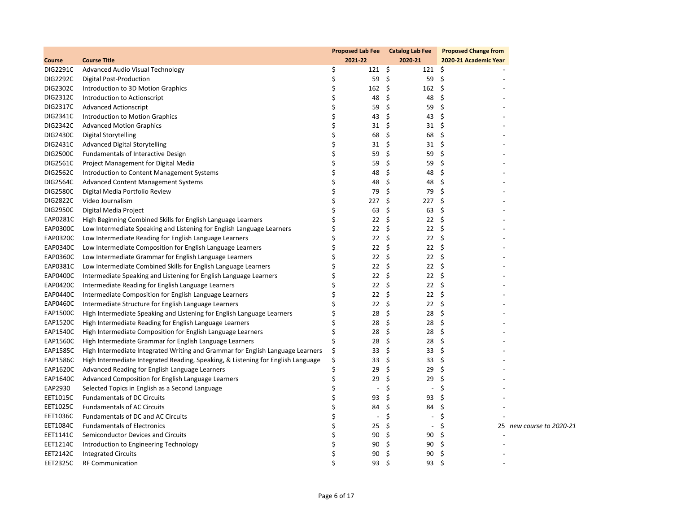|                 |                                                                                  |    |                          | Proposed Lab Fee Catalog Lab Fee | <b>Proposed Change from</b> |                          |
|-----------------|----------------------------------------------------------------------------------|----|--------------------------|----------------------------------|-----------------------------|--------------------------|
| Course          | <b>Course Title</b>                                                              |    | 2021-22                  | 2020-21                          | 2020-21 Academic Year       |                          |
| DIG2291C        | Advanced Audio Visual Technology                                                 | \$ | $121 \; \text{S}$        | $121 \quad $5$                   |                             |                          |
| DIG2292C        | <b>Digital Post-Production</b>                                                   | \$ | 59 \$                    | 59                               | \$                          |                          |
| DIG2302C        | Introduction to 3D Motion Graphics                                               | \$ | $162 \quad$ \$           | 162                              | -\$                         |                          |
| DIG2312C        | Introduction to Actionscript                                                     | \$ | 48                       | \$<br>48                         | \$                          |                          |
| DIG2317C        | <b>Advanced Actionscript</b>                                                     | \$ | 59                       | \$<br>59                         | \$                          |                          |
| DIG2341C        | Introduction to Motion Graphics                                                  | \$ | 43                       | \$<br>43                         | \$                          |                          |
| DIG2342C        | <b>Advanced Motion Graphics</b>                                                  | \$ | 31                       | \$<br>31                         | - \$                        |                          |
| <b>DIG2430C</b> | <b>Digital Storytelling</b>                                                      | \$ | 68                       | \$<br>68                         | \$                          |                          |
| DIG2431C        | <b>Advanced Digital Storytelling</b>                                             | \$ | 31                       | \$<br>31                         | \$                          |                          |
| DIG2500C        | <b>Fundamentals of Interactive Design</b>                                        | \$ | 59                       | \$<br>59                         | \$                          |                          |
| DIG2561C        | Project Management for Digital Media                                             | \$ | 59                       | \$<br>59                         | \$                          |                          |
| DIG2562C        | Introduction to Content Management Systems                                       | \$ | 48                       | \$<br>48                         | \$                          |                          |
| DIG2564C        | <b>Advanced Content Management Systems</b>                                       | \$ | 48                       | \$<br>48                         | \$                          |                          |
| <b>DIG2580C</b> | Digital Media Portfolio Review                                                   | \$ | 79                       | \$<br>79                         | \$                          |                          |
| DIG2822C        | Video Journalism                                                                 | \$ | 227                      | \$<br>227                        | -\$                         |                          |
| DIG2950C        | Digital Media Project                                                            | \$ | 63                       | \$<br>63                         | \$                          |                          |
| EAP0281C        | High Beginning Combined Skills for English Language Learners                     | \$ | 22                       | \$<br>22                         | \$                          |                          |
| EAP0300C        | Low Intermediate Speaking and Listening for English Language Learners            | \$ | 22                       | Ŝ.<br>22                         | \$                          |                          |
| EAP0320C        | Low Intermediate Reading for English Language Learners                           | \$ | 22                       | \$<br>22                         | \$                          |                          |
| EAP0340C        | Low Intermediate Composition for English Language Learners                       | \$ | 22                       | \$<br>22                         | \$                          |                          |
| EAP0360C        | Low Intermediate Grammar for English Language Learners                           | Ś  | 22                       | \$<br>22                         | \$                          |                          |
| EAP0381C        | Low Intermediate Combined Skills for English Language Learners                   | \$ | 22                       | \$<br>22                         | \$                          |                          |
| EAP0400C        | Intermediate Speaking and Listening for English Language Learners                | \$ | 22                       | \$<br>22                         | \$                          |                          |
| EAP0420C        | Intermediate Reading for English Language Learners                               | Ś  | 22                       | \$<br>22                         | \$                          |                          |
| EAP0440C        | Intermediate Composition for English Language Learners                           | \$ | 22                       | \$<br>22                         | \$                          |                          |
| EAP0460C        | Intermediate Structure for English Language Learners                             | Ś  | 22                       | \$<br>22                         | \$                          |                          |
| EAP1500C        | High Intermediate Speaking and Listening for English Language Learners           | \$ | 28                       | \$<br>28                         | \$                          |                          |
| EAP1520C        | High Intermediate Reading for English Language Learners                          | \$ | 28                       | \$<br>28                         | \$                          |                          |
| EAP1540C        | High Intermediate Composition for English Language Learners                      | Ś  | 28                       | \$<br>28                         | \$                          |                          |
| EAP1560C        | High Intermediate Grammar for English Language Learners                          |    | 28                       | \$<br>28                         | \$                          |                          |
| EAP1585C        | High Intermediate Integrated Writing and Grammar for English Language Learners   | \$ | 33                       | \$<br>33                         | \$                          |                          |
| EAP1586C        | High Intermediate Integrated Reading, Speaking, & Listening for English Language | \$ | 33                       | \$<br>33                         | \$                          |                          |
| EAP1620C        | Advanced Reading for English Language Learners                                   | Ś  | 29                       | \$<br>29                         | \$                          |                          |
| EAP1640C        | Advanced Composition for English Language Learners                               | \$ | 29                       | \$<br>29                         | \$                          |                          |
| EAP2930         | Selected Topics in English as a Second Language                                  | \$ | $\overline{\phantom{a}}$ | \$<br>$\overline{\phantom{a}}$   | \$                          |                          |
| EET1015C        | <b>Fundamentals of DC Circuits</b>                                               | Ś  | 93                       | \$<br>93                         | Ś                           |                          |
| EET1025C        | <b>Fundamentals of AC Circuits</b>                                               | \$ | 84                       | \$<br>84                         | \$                          |                          |
| EET1036C        | Fundamentals of DC and AC Circuits                                               | \$ | $\overline{\phantom{a}}$ | \$<br>$\overline{\phantom{a}}$   | \$                          |                          |
| EET1084C        | <b>Fundamentals of Electronics</b>                                               | Ś  | 25                       | \$<br>$\overline{\phantom{a}}$   | Ś                           | 25 new course to 2020-21 |
| EET1141C        | Semiconductor Devices and Circuits                                               | \$ | 90                       | \$<br>90                         | \$                          |                          |
| EET1214C        | Introduction to Engineering Technology                                           | Ś  | 90                       | \$<br>90                         | \$                          |                          |
| EET2142C        | Integrated Circuits                                                              |    | 90                       | \$<br>90                         | \$                          |                          |
| <b>EET2325C</b> | <b>RF Communication</b>                                                          | \$ | 93                       | \$<br>93                         | \$                          |                          |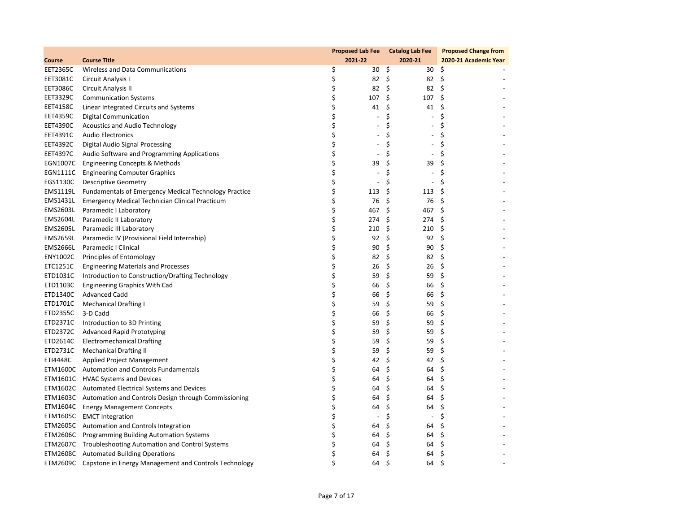|                 |                                                                |    |                          | Proposed Lab Fee Catalog Lab Fee | <b>Proposed Change from</b> |
|-----------------|----------------------------------------------------------------|----|--------------------------|----------------------------------|-----------------------------|
| Course          | <b>Course Title</b>                                            |    | 2021-22                  | 2020-21                          | 2020-21 Academic Year       |
| <b>EET2365C</b> | Wireless and Data Communications                               | \$ | 30 \$                    |                                  | $30 \quad $5$               |
| EET3081C        | Circuit Analysis I                                             | \$ | 82 \$                    |                                  | 82 \$                       |
| <b>EET3086C</b> | Circuit Analysis II                                            | \$ | 82 \$                    |                                  | $82 \quad 5$                |
| EET3329C        | <b>Communication Systems</b>                                   | \$ | $107 \pm$                | $107 \pm$                        |                             |
| EET4158C        | Linear Integrated Circuits and Systems                         | \$ | $41 \; \xi$              | 41                               | \$                          |
| <b>EET4359C</b> | <b>Digital Communication</b>                                   | \$ | $\overline{\phantom{a}}$ | \$<br>$\overline{\phantom{a}}$   | Ś                           |
| <b>EET4390C</b> | <b>Acoustics and Audio Technology</b>                          | \$ | $\overline{\phantom{a}}$ | \$<br>$\blacksquare$             | \$                          |
| EET4391C        | <b>Audio Electronics</b>                                       | \$ | $\overline{\phantom{a}}$ | \$<br>$\overline{\phantom{a}}$   | \$                          |
| EET4392C        | Digital Audio Signal Processing                                | \$ | $\overline{\phantom{a}}$ | \$<br>$\overline{\phantom{a}}$   | \$                          |
| <b>EET4397C</b> | Audio Software and Programming Applications                    | \$ | $\overline{\phantom{a}}$ | \$<br>$\overline{\phantom{a}}$   | \$                          |
| EGN1007C        | <b>Engineering Concepts &amp; Methods</b>                      | \$ | 39                       | \$<br>39                         | \$                          |
| EGN1111C        | <b>Engineering Computer Graphics</b>                           | \$ | $\overline{\phantom{a}}$ | \$<br>$\overline{\phantom{a}}$   | \$                          |
| EGS1130C        | <b>Descriptive Geometry</b>                                    | \$ | $\overline{\phantom{a}}$ | \$<br>$\overline{\phantom{a}}$   | \$                          |
| EMS1119L        | <b>Fundamentals of Emergency Medical Technology Practice</b>   | \$ | 113                      | \$<br>113                        | \$                          |
| EMS1431L        | Emergency Medical Technician Clinical Practicum                | \$ | 76                       | \$<br>76                         | \$                          |
| EMS2603L        | Paramedic I Laboratory                                         | \$ | 467 \$                   | 467                              | - \$                        |
| EMS2604L        | Paramedic II Laboratory                                        | \$ | 274                      | \$<br>274                        | \$                          |
| EMS2605L        | Paramedic III Laboratory                                       | \$ | 210                      | \$<br>210                        | \$                          |
| <b>EMS2659L</b> | Paramedic IV (Provisional Field Internship)                    | \$ | 92                       | \$<br>92                         | \$                          |
| <b>EMS2666L</b> | Paramedic I Clinical                                           | \$ | 90                       | \$<br>90                         | \$                          |
| ENY1002C        | Principles of Entomology                                       | \$ | 82                       | \$<br>82                         | - \$                        |
| ETC1251C        | <b>Engineering Materials and Processes</b>                     | \$ | 26                       | \$<br>26                         | \$                          |
| ETD1031C        | Introduction to Construction/Drafting Technology               | \$ | 59                       | \$<br>59                         | \$                          |
| ETD1103C        | <b>Engineering Graphics With Cad</b>                           | \$ | 66                       | \$<br>66                         | \$                          |
| ETD1340C        | <b>Advanced Cadd</b>                                           | \$ | 66                       | \$<br>66                         | \$                          |
| ETD1701C        | <b>Mechanical Drafting I</b>                                   | \$ | 59                       | \$<br>59                         | \$                          |
| ETD2355C        | 3-D Cadd                                                       | \$ | 66                       | \$<br>66                         | \$                          |
| ETD2371C        | Introduction to 3D Printing                                    | \$ | 59                       | \$<br>59                         | \$                          |
| ETD2372C        | <b>Advanced Rapid Prototyping</b>                              | \$ | 59                       | \$<br>59                         | \$                          |
| ETD2614C        | <b>Electromechanical Drafting</b>                              | \$ | 59                       | \$<br>59                         | \$                          |
| ETD2731C        | <b>Mechanical Drafting II</b>                                  | \$ | 59                       | \$<br>59                         | \$                          |
| ETI4448C        | Applied Project Management                                     | \$ | 42                       | \$<br>42                         | \$                          |
|                 | ETM1600C Automation and Controls Fundamentals                  | \$ | 64                       | \$<br>64                         | \$                          |
|                 | ETM1601C HVAC Systems and Devices                              | \$ | 64                       | \$<br>64                         | \$                          |
|                 | ETM1602C Automated Electrical Systems and Devices              | \$ | 64                       | \$<br>64                         | \$                          |
|                 | ETM1603C Automation and Controls Design through Commissioning  | \$ | 64                       | \$<br>64                         | \$                          |
|                 | ETM1604C Energy Management Concepts                            | \$ | 64                       | \$<br>64                         | \$                          |
|                 | ETM1605C EMCT Integration                                      | \$ | $\overline{\phantom{a}}$ | \$<br>$\overline{\phantom{a}}$   | \$                          |
|                 | ETM2605C Automation and Controls Integration                   | \$ | 64                       | \$<br>64                         | \$                          |
|                 | ETM2606C Programming Building Automation Systems               | \$ | 64                       | \$<br>64                         | \$                          |
|                 | ETM2607C Troubleshooting Automation and Control Systems        | \$ | 64                       | \$<br>64                         | \$                          |
|                 | ETM2608C Automated Building Operations                         | \$ | 64                       | \$<br>64                         | \$                          |
|                 | ETM2609C Capstone in Energy Management and Controls Technology | Ś  | 64                       | Ś.<br>64                         | \$                          |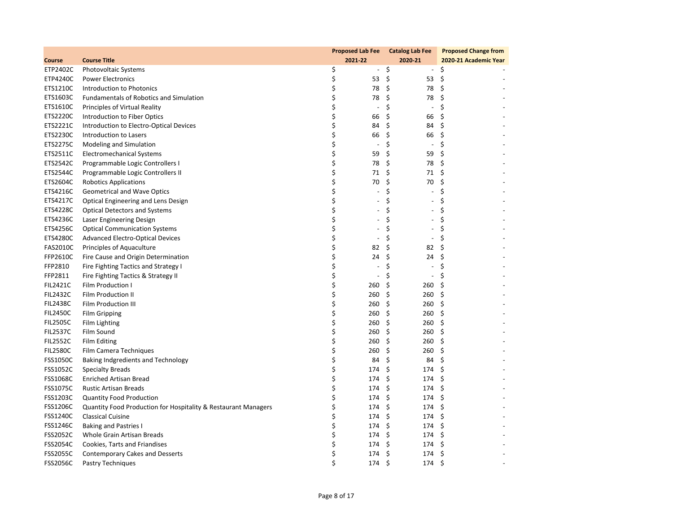|                 |                                                                |    | <b>Proposed Lab Fee</b>  | <b>Catalog Lab Fee</b>         | <b>Proposed Change from</b> |
|-----------------|----------------------------------------------------------------|----|--------------------------|--------------------------------|-----------------------------|
| Course          | <b>Course Title</b>                                            |    | 2021-22                  | 2020-21                        | 2020-21 Academic Year       |
| ETP2402C        | Photovoltaic Systems                                           | \$ | $\blacksquare$           | \$<br>$\sim$                   | \$                          |
| ETP4240C        | <b>Power Electronics</b>                                       | \$ | 53                       | \$<br>53                       | \$                          |
| ETS1210C        | Introduction to Photonics                                      | \$ | 78                       | \$<br>78                       | \$                          |
| ETS1603C        | <b>Fundamentals of Robotics and Simulation</b>                 | \$ | 78                       | \$<br>78                       | \$                          |
| ETS1610C        | Principles of Virtual Reality                                  | \$ | $\overline{\phantom{a}}$ | \$<br>$\overline{\phantom{a}}$ | \$                          |
| ETS2220C        | Introduction to Fiber Optics                                   | \$ | 66                       | \$<br>66                       | \$                          |
| ETS2221C        | Introduction to Electro-Optical Devices                        | \$ | 84                       | \$<br>84                       | \$                          |
| ETS2230C        | Introduction to Lasers                                         | \$ | 66                       | \$<br>66                       | \$                          |
| <b>ETS2275C</b> | Modeling and Simulation                                        | \$ | $\overline{\phantom{a}}$ | \$<br>$\overline{\phantom{a}}$ | \$                          |
| ETS2511C        | Electromechanical Systems                                      | \$ | 59                       | \$<br>59                       | \$                          |
| ETS2542C        | Programmable Logic Controllers I                               | \$ | 78                       | \$<br>78                       | \$                          |
| ETS2544C        | Programmable Logic Controllers II                              | \$ | 71                       | \$<br>71                       | \$                          |
| ETS2604C        | <b>Robotics Applications</b>                                   | \$ | 70                       | \$<br>70                       | \$                          |
| ETS4216C        | <b>Geometrical and Wave Optics</b>                             | \$ |                          | \$<br>$\overline{\phantom{a}}$ | \$                          |
| ETS4217C        | Optical Engineering and Lens Design                            | \$ | $\overline{\phantom{a}}$ | \$<br>$\blacksquare$           | \$                          |
| ETS4228C        | <b>Optical Detectors and Systems</b>                           | \$ | $\sim$                   | \$<br>$\blacksquare$           | \$                          |
| ETS4236C        | Laser Engineering Design                                       | \$ | $\sim$                   | \$<br>$\overline{a}$           | \$                          |
| ETS4256C        | <b>Optical Communication Systems</b>                           | \$ | $\overline{a}$           | \$<br>$\overline{\phantom{a}}$ | \$                          |
| <b>ETS4280C</b> | <b>Advanced Electro-Optical Devices</b>                        | \$ | $\overline{\phantom{a}}$ | \$<br>$\overline{\phantom{a}}$ | \$                          |
| <b>FAS2010C</b> | Principles of Aquaculture                                      | \$ | 82                       | \$<br>82                       | \$                          |
| FFP2610C        | Fire Cause and Origin Determination                            | \$ | 24                       | \$<br>24                       | \$                          |
| FFP2810         | Fire Fighting Tactics and Strategy I                           | \$ | $\overline{\phantom{a}}$ | \$<br>$\overline{\phantom{a}}$ | \$                          |
| FFP2811         | Fire Fighting Tactics & Strategy II                            | \$ | $\blacksquare$           | \$<br>$\overline{\phantom{a}}$ | \$                          |
| <b>FIL2421C</b> | Film Production I                                              | \$ | 260                      | \$<br>260                      | \$                          |
| <b>FIL2432C</b> | Film Production II                                             | \$ | 260                      | \$<br>260                      | \$                          |
| <b>FIL2438C</b> | Film Production III                                            | \$ | 260                      | \$<br>260                      | \$                          |
| <b>FIL2450C</b> | <b>Film Gripping</b>                                           | \$ | 260                      | \$<br>260                      | \$                          |
| <b>FIL2505C</b> | Film Lighting                                                  | \$ | 260                      | \$<br>260                      | \$                          |
| <b>FIL2537C</b> | Film Sound                                                     | \$ | 260                      | \$<br>260                      | \$                          |
| <b>FIL2552C</b> | Film Editing                                                   | \$ | 260                      | \$<br>260                      | \$                          |
| <b>FIL2580C</b> | Film Camera Techniques                                         | \$ | 260                      | \$<br>260                      | \$                          |
| <b>FSS1050C</b> | Baking Indgredients and Technology                             | \$ | 84                       | \$<br>84                       | \$                          |
| FSS1052C        | <b>Specialty Breads</b>                                        | \$ | 174                      | \$<br>174                      | \$                          |
| <b>FSS1068C</b> | <b>Enriched Artisan Bread</b>                                  | \$ | 174                      | \$<br>174                      | \$                          |
| <b>FSS1075C</b> | <b>Rustic Artisan Breads</b>                                   | \$ | 174                      | \$<br>174                      | \$                          |
| FSS1203C        | <b>Quantity Food Production</b>                                | \$ | 174                      | \$<br>174                      | \$                          |
| <b>FSS1206C</b> | Quantity Food Production for Hospitality & Restaurant Managers | \$ | 174                      | \$<br>174                      | \$                          |
| <b>FSS1240C</b> | <b>Classical Cuisine</b>                                       | Ś  | 174                      | \$<br>174                      | \$                          |
| <b>FSS1246C</b> | <b>Baking and Pastries I</b>                                   | \$ | 174                      | \$<br>174                      | \$                          |
| <b>FSS2052C</b> | Whole Grain Artisan Breads                                     | \$ | 174                      | \$<br>174                      | \$                          |
| <b>FSS2054C</b> | Cookies, Tarts and Friandises                                  | \$ | 174                      | \$<br>174                      | \$                          |
| <b>FSS2055C</b> | <b>Contemporary Cakes and Desserts</b>                         | \$ | 174                      | \$<br>174                      | \$                          |
| <b>FSS2056C</b> | Pastry Techniques                                              | \$ | 174                      | Ś.<br>174                      | \$                          |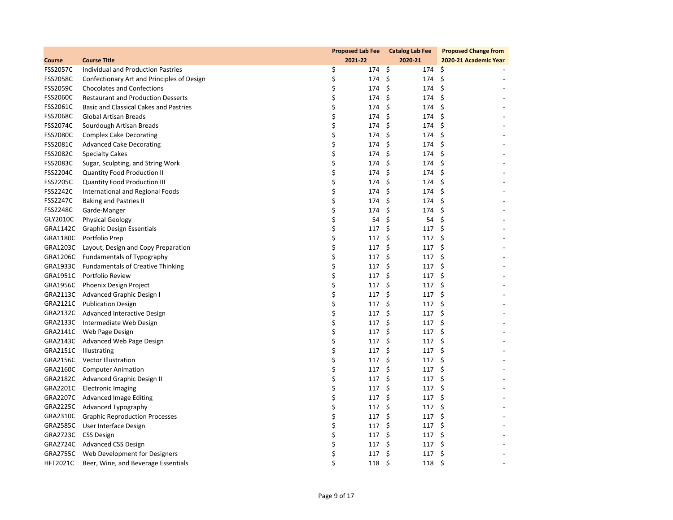|                 |                                            |    | <b>Proposed Lab Fee</b> | <b>Catalog Lab Fee</b> | <b>Proposed Change from</b> |
|-----------------|--------------------------------------------|----|-------------------------|------------------------|-----------------------------|
| Course          | <b>Course Title</b>                        |    | 2021-22                 | 2020-21                | 2020-21 Academic Year       |
| <b>FSS2057C</b> | Individual and Production Pastries         | \$ | 174 \$                  | 174                    | \$                          |
| <b>FSS2058C</b> | Confectionary Art and Principles of Design | \$ | 174                     | \$<br>174              | \$                          |
| <b>FSS2059C</b> | <b>Chocolates and Confections</b>          | \$ | 174 \$                  | 174                    | - \$                        |
| <b>FSS2060C</b> | <b>Restaurant and Production Desserts</b>  | \$ | 174                     | \$<br>174              | \$                          |
| FSS2061C        | Basic and Classical Cakes and Pastries     | \$ | 174                     | \$<br>174              | \$                          |
| <b>FSS2068C</b> | <b>Global Artisan Breads</b>               | \$ | 174                     | \$<br>174              | \$                          |
| <b>FSS2074C</b> | Sourdough Artisan Breads                   | \$ | 174 \$                  | 174                    | \$                          |
| <b>FSS2080C</b> | <b>Complex Cake Decorating</b>             | \$ | 174                     | \$<br>174              | \$                          |
| FSS2081C        | <b>Advanced Cake Decorating</b>            | \$ | 174                     | \$<br>174              | -\$                         |
| <b>FSS2082C</b> | <b>Specialty Cakes</b>                     | \$ | 174 \$                  | 174                    | \$                          |
| <b>FSS2083C</b> | Sugar, Sculpting, and String Work          | \$ | 174                     | \$<br>174              | \$                          |
| <b>FSS2204C</b> | <b>Quantity Food Production II</b>         | \$ | 174                     | \$<br>174              | \$                          |
| <b>FSS2205C</b> | Quantity Food Production III               | \$ | 174 \$                  | 174                    | \$                          |
| <b>FSS2242C</b> | International and Regional Foods           | \$ | 174                     | \$<br>174              | \$                          |
| <b>FSS2247C</b> | Baking and Pastries II                     | \$ | 174                     | \$<br>174              | \$                          |
| <b>FSS2248C</b> | Garde-Manger                               | \$ | 174                     | \$<br>174              | \$                          |
| GLY2010C        | <b>Physical Geology</b>                    | \$ | 54                      | \$<br>54               | \$                          |
| GRA1142C        | Graphic Design Essentials                  | \$ | 117                     | \$<br>117              | \$                          |
| GRA1180C        | Portfolio Prep                             | \$ | 117                     | \$<br>117              | \$                          |
| GRA1203C        | Layout, Design and Copy Preparation        | \$ | 117                     | \$<br>117              | \$                          |
| GRA1206C        | <b>Fundamentals of Typography</b>          | \$ | 117                     | \$<br>117              | -\$                         |
|                 | GRA1933C Fundamentals of Creative Thinking | \$ | 117                     | \$<br>117              | \$                          |
| GRA1951C        | Portfolio Review                           | \$ | 117                     | \$<br>117              | \$                          |
| GRA1956C        | Phoenix Design Project                     | \$ | $117 \pm$               | 117                    | -\$                         |
|                 | GRA2113C Advanced Graphic Design I         | \$ | 117                     | \$<br>117              | \$                          |
|                 | GRA2121C Publication Design                | \$ | 117                     | \$<br>117              | \$                          |
|                 | GRA2132C Advanced Interactive Design       | \$ | $117 \pm$               | 117                    | -\$                         |
|                 | GRA2133C Intermediate Web Design           | \$ | 117                     | \$<br>117              | \$                          |
|                 | GRA2141C Web Page Design                   | \$ | 117                     | \$<br>117              | \$                          |
|                 | GRA2143C Advanced Web Page Design          | \$ | 117                     | \$<br>117              | \$                          |
|                 | GRA2151C Illustrating                      | \$ | 117                     | \$<br>117              | \$                          |
|                 | GRA2156C Vector Illustration               | \$ | 117                     | \$<br>117              | \$                          |
|                 | GRA2160C Computer Animation                | \$ | 117                     | \$<br>117              | \$                          |
|                 | GRA2182C Advanced Graphic Design II        | \$ | 117                     | \$<br>117              | \$                          |
| GRA2201C        | <b>Electronic Imaging</b>                  | \$ | 117                     | \$<br>117              | \$                          |
|                 | GRA2207C Advanced Image Editing            | \$ | 117                     | \$<br>117              | \$                          |
|                 | GRA2225C Advanced Typography               | \$ | 117                     | \$<br>117              | \$                          |
|                 | GRA2310C Graphic Reproduction Processes    | \$ | 117                     | \$<br>117              | \$                          |
|                 | GRA2585C User Interface Design             | \$ | 117                     | \$<br>117              | Ŝ.                          |
|                 | GRA2723C CSS Design                        | \$ | 117                     | \$<br>117              | \$                          |
|                 | GRA2724C Advanced CSS Design               | \$ | 117                     | \$<br>117              | \$                          |
|                 | GRA2755C Web Development for Designers     | \$ | 117                     | \$<br>117              | \$                          |
| <b>HFT2021C</b> | Beer, Wine, and Beverage Essentials        | Ś  | 118                     | Ŝ.<br>118              | \$                          |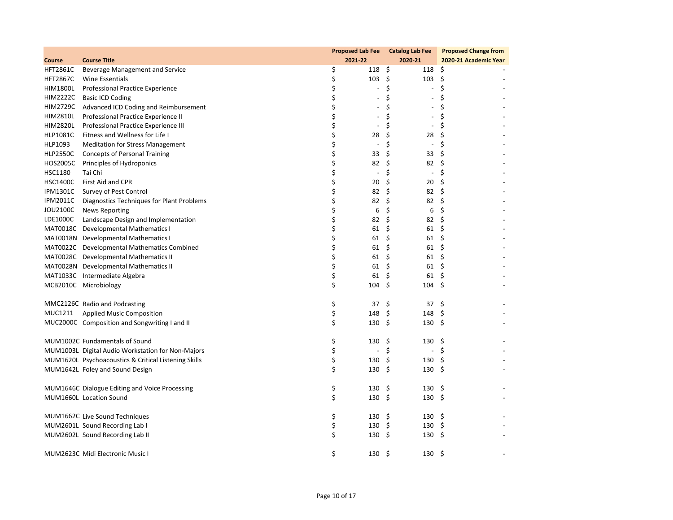|                 |                                                      |                                | Proposed Lab Fee Catalog Lab Fee | <b>Proposed Change from</b> |
|-----------------|------------------------------------------------------|--------------------------------|----------------------------------|-----------------------------|
| Course          | <b>Course Title</b>                                  | 2021-22                        | 2020-21                          | 2020-21 Academic Year       |
| <b>HFT2861C</b> | Beverage Management and Service                      | \$<br>118 \$                   |                                  | $118 \; \; \zeta$           |
| <b>HFT2867C</b> | Wine Essentials                                      | \$<br>$103 \; \; \zeta$        | 103                              | - \$                        |
| HIM1800L        | Professional Practice Experience                     | \$<br>$\overline{\phantom{a}}$ | \$<br>$\overline{\phantom{a}}$   | \$                          |
| <b>HIM2222C</b> | <b>Basic ICD Coding</b>                              | \$<br>$\overline{\phantom{a}}$ | \$<br>$\blacksquare$             | \$                          |
| <b>HIM2729C</b> | Advanced ICD Coding and Reimbursement                | \$                             | \$<br>$\overline{\phantom{a}}$   | \$                          |
| <b>HIM2810L</b> | Professional Practice Experience II                  | \$<br>$\overline{\phantom{a}}$ | \$<br>$\overline{\phantom{a}}$   | \$                          |
| <b>HIM2820L</b> | Professional Practice Experience III                 | \$<br>$\overline{\phantom{a}}$ | \$<br>$\overline{\phantom{a}}$   | \$                          |
| <b>HLP1081C</b> | Fitness and Wellness for Life I                      | \$<br>28                       | \$<br>28                         | \$                          |
| HLP1093         | <b>Meditation for Stress Management</b>              | \$<br>$\overline{\phantom{a}}$ | \$<br>$\overline{\phantom{a}}$   | \$                          |
| <b>HLP2550C</b> | <b>Concepts of Personal Training</b>                 | \$<br>33                       | \$<br>33                         | \$                          |
| <b>HOS2005C</b> | Principles of Hydroponics                            | \$<br>82                       | \$<br>82                         | \$                          |
| HSC1180         | Tai Chi                                              | \$<br>$\overline{\phantom{a}}$ | \$<br>$\overline{\phantom{a}}$   | \$                          |
| <b>HSC1400C</b> | First Aid and CPR                                    | \$<br>20                       | \$<br>20                         | \$                          |
| <b>IPM1301C</b> | Survey of Pest Control                               | \$<br>82                       | \$<br>82                         | \$                          |
| <b>IPM2011C</b> | Diagnostics Techniques for Plant Problems            | \$<br>82                       | \$<br>82                         | \$                          |
| JOU2100C        | <b>News Reporting</b>                                | \$<br>6                        | \$<br>6                          | \$                          |
| LDE1000C        | Landscape Design and Implementation                  | \$<br>82                       | \$<br>82                         | \$                          |
|                 | MAT0018C Developmental Mathematics I                 | \$<br>61                       | \$<br>61                         | - \$                        |
|                 | MAT0018N Developmental Mathematics I                 | \$<br>61                       | \$<br>61                         | \$                          |
|                 | MAT0022C Developmental Mathematics Combined          | \$<br>61                       | \$<br>61                         | -\$                         |
|                 | MAT0028C Developmental Mathematics II                | \$<br>61                       | \$<br>61                         | \$                          |
|                 | MAT0028N Developmental Mathematics II                | \$<br>61\$                     | 61                               | \$                          |
|                 | MAT1033C Intermediate Algebra                        | \$<br>$61 \;$ \$               | 61                               | -\$                         |
|                 | MCB2010C Microbiology                                | \$<br>$104 \div$               | 104                              | -\$                         |
|                 |                                                      |                                |                                  |                             |
|                 | MMC2126C Radio and Podcasting                        | \$<br>37\$                     | 37                               | -\$                         |
| MUC1211         | Applied Music Composition                            | \$<br>148 \$                   | 148                              | - \$                        |
|                 | MUC2000C Composition and Songwriting I and II        | \$<br>$130 \quad $5$           | 130                              | \$                          |
|                 |                                                      |                                |                                  |                             |
|                 | MUM1002C Fundamentals of Sound                       | \$<br>130 \$                   | 130                              | - \$                        |
|                 | MUM1003L Digital Audio Workstation for Non-Majors    | \$<br>$\blacksquare$           | - \$<br>$\overline{\phantom{a}}$ | \$                          |
|                 | MUM1620L Psychoacoustics & Critical Listening Skills | \$<br>$130 \pm$                |                                  | $130 \pm$                   |
|                 | MUM1642L Foley and Sound Design                      | \$<br>$130 \quad $5$           |                                  | $130 \pm$                   |
|                 |                                                      |                                |                                  |                             |
|                 | MUM1646C Dialogue Editing and Voice Processing       | \$<br>$130 \div$               | 130                              | - \$                        |
|                 | MUM1660L Location Sound                              | \$<br>130 \$                   | 130                              | - \$                        |
|                 |                                                      |                                |                                  |                             |
|                 | MUM1662C Live Sound Techniques                       | \$<br>$130 \div$               |                                  | $130 \pm$                   |
|                 | MUM2601L Sound Recording Lab I                       | \$<br>$130 \pm$                | 130                              | \$                          |
|                 | MUM2602L Sound Recording Lab II                      | \$<br>$130 \pm$                |                                  | $130 \pm$                   |
|                 |                                                      |                                |                                  |                             |
|                 | MUM2623C Midi Electronic Music I                     | \$<br>$130 \pm$                | 130                              | - \$                        |
|                 |                                                      |                                |                                  |                             |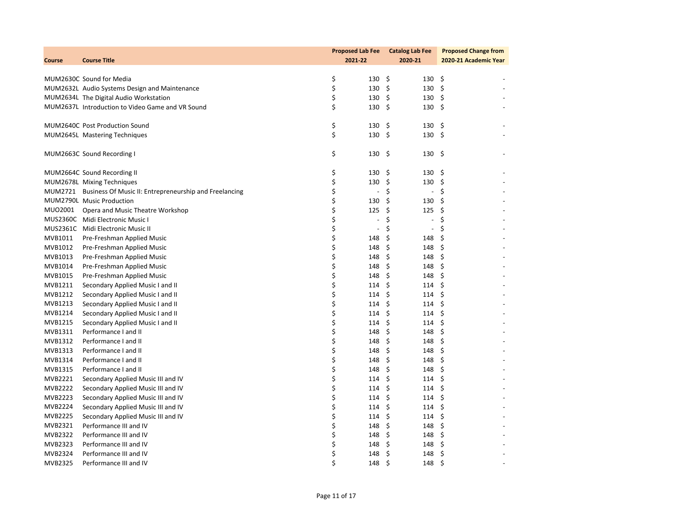|                |                                                                | <b>Proposed Lab Fee</b>        | <b>Catalog Lab Fee</b>         | <b>Proposed Change from</b> |
|----------------|----------------------------------------------------------------|--------------------------------|--------------------------------|-----------------------------|
| Course         | <b>Course Title</b>                                            | 2021-22                        | 2020-21                        | 2020-21 Academic Year       |
|                |                                                                |                                |                                |                             |
|                | MUM2630C Sound for Media                                       | \$<br>$130 \pm$                | $130 \pm 5$                    |                             |
|                | MUM2632L Audio Systems Design and Maintenance                  | \$<br>130                      | \$<br>130                      | - \$                        |
|                | MUM2634L The Digital Audio Workstation                         | \$<br>130                      | \$<br>$130 \div$               |                             |
|                | MUM2637L Introduction to Video Game and VR Sound               | \$<br>$130 \div$               | $130 \pm$                      |                             |
|                | MUM2640C Post Production Sound                                 | \$<br>130 \$                   | 130                            | - \$                        |
|                | MUM2645L Mastering Techniques                                  | \$<br>$130 \div$               | 130                            | - \$                        |
|                | MUM2663C Sound Recording I                                     | \$<br>130 \$                   | $130 \pm$                      |                             |
|                | MUM2664C Sound Recording II                                    | \$<br>130                      | \$.<br>130                     | \$                          |
|                | MUM2678L Mixing Techniques                                     | \$<br>130                      | \$<br>130                      | \$                          |
|                | MUM2721 Business Of Music II: Entrepreneurship and Freelancing | \$<br>$\overline{\phantom{a}}$ | \$<br>$\blacksquare$           | \$                          |
|                | MUM2790L Music Production                                      | \$<br>130                      | \$<br>130                      | \$                          |
| MU02001        | Opera and Music Theatre Workshop                               | \$<br>125                      | \$<br>125                      | \$                          |
|                | MUS2360C Midi Electronic Music I                               | \$<br>$\blacksquare$           | \$<br>$\Box$                   | \$                          |
|                | MUS2361C Midi Electronic Music II                              | \$<br>$\blacksquare$           | \$<br>$\overline{\phantom{a}}$ | \$                          |
| MVB1011        | Pre-Freshman Applied Music                                     | \$<br>148                      | \$<br>148                      | \$                          |
| MVB1012        | Pre-Freshman Applied Music                                     | \$<br>148                      | \$<br>148                      | \$                          |
| MVB1013        | Pre-Freshman Applied Music                                     | \$<br>148                      | \$<br>148                      | \$                          |
| MVB1014        | Pre-Freshman Applied Music                                     | \$<br>148                      | \$<br>148                      | \$                          |
| MVB1015        | Pre-Freshman Applied Music                                     | \$<br>148                      | \$<br>148                      | \$                          |
| MVB1211        | Secondary Applied Music I and II                               | \$<br>114                      | \$<br>114                      | \$                          |
| MVB1212        | Secondary Applied Music I and II                               | \$<br>114                      | \$<br>114                      | \$                          |
| MVB1213        | Secondary Applied Music I and II                               | \$<br>114                      | \$<br>114                      | \$                          |
| MVB1214        | Secondary Applied Music I and II                               | \$<br>114                      | \$<br>114                      | - \$                        |
| MVB1215        | Secondary Applied Music I and II                               | \$<br>114                      | \$<br>114                      | \$                          |
| MVB1311        | Performance I and II                                           | \$<br>148                      | \$<br>148                      | \$                          |
| MVB1312        | Performance I and II                                           | \$<br>148                      | \$<br>148                      | \$                          |
| MVB1313        | Performance I and II                                           | \$<br>148                      | \$<br>148                      | \$                          |
| MVB1314        | Performance I and II                                           | \$<br>148                      | \$<br>148                      | \$                          |
| MVB1315        | Performance I and II                                           | \$<br>148                      | \$<br>148                      | \$                          |
| MVB2221        | Secondary Applied Music III and IV                             | \$<br>114                      | \$<br>114                      | \$                          |
| <b>MVB2222</b> | Secondary Applied Music III and IV                             | \$<br>114                      | \$<br>114                      | \$                          |
| MVB2223        | Secondary Applied Music III and IV                             | \$<br>114                      | \$<br>114                      | \$                          |
| <b>MVB2224</b> | Secondary Applied Music III and IV                             | \$<br>114                      | \$<br>114                      | \$                          |
| MVB2225        | Secondary Applied Music III and IV                             | \$<br>114                      | \$<br>114                      | \$                          |
| MVB2321        | Performance III and IV                                         | \$<br>148                      | \$<br>148                      | \$                          |
| MVB2322        | Performance III and IV                                         | \$<br>148                      | \$<br>148                      | \$                          |
| MVB2323        | Performance III and IV                                         | \$<br>148                      | \$<br>148                      | \$                          |
| MVB2324        | Performance III and IV                                         | \$<br>148                      | \$<br>148                      | \$                          |
| <b>MVB2325</b> | Performance III and IV                                         | \$<br>148                      | Ś.<br>148                      | \$                          |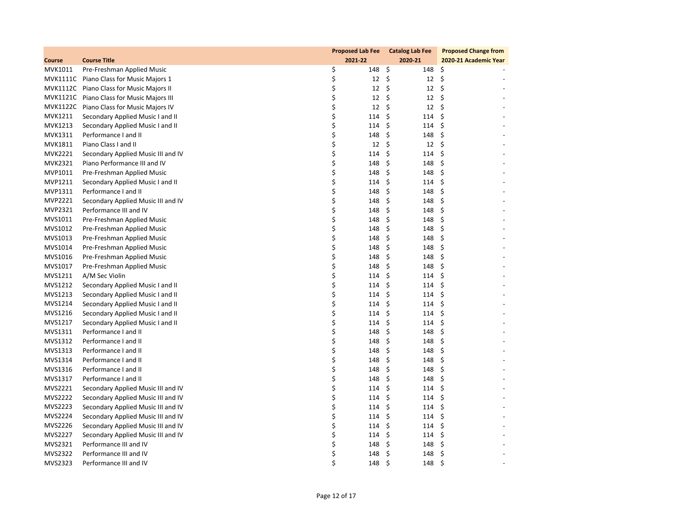|                |                                           | <b>Proposed Lab Fee</b> | <b>Catalog Lab Fee</b> | <b>Proposed Change from</b> |
|----------------|-------------------------------------------|-------------------------|------------------------|-----------------------------|
| Course         | <b>Course Title</b>                       | 2021-22                 | 2020-21                | 2020-21 Academic Year       |
| MVK1011        | Pre-Freshman Applied Music                | \$<br>148               | \$<br>148              | \$                          |
|                | MVK1111C Piano Class for Music Majors 1   | \$<br>12                | \$<br>12               | \$                          |
|                | MVK1112C Piano Class for Music Majors II  | \$<br>12                | \$<br>12               | \$                          |
|                | MVK1121C Piano Class for Music Majors III | \$<br>12                | \$<br>12               | \$                          |
|                | MVK1122C Piano Class for Music Majors IV  | \$<br>12                | \$<br>$12 \quad 5$     |                             |
| <b>MVK1211</b> | Secondary Applied Music I and II          | \$<br>114               | \$<br>114              | \$                          |
| MVK1213        | Secondary Applied Music I and II          | \$<br>114               | \$<br>114              | \$                          |
| MVK1311        | Performance I and II                      | \$<br>148               | \$<br>148              | \$                          |
| MVK1811        | Piano Class I and II                      | \$<br>12                | \$<br>12               | \$                          |
| MVK2221        | Secondary Applied Music III and IV        | \$<br>114               | \$<br>114              | \$                          |
| <b>MVK2321</b> | Piano Performance III and IV              | \$<br>148               | \$<br>148              | \$                          |
| MVP1011        | Pre-Freshman Applied Music                | \$<br>148               | \$<br>148              | \$                          |
| MVP1211        | Secondary Applied Music I and II          | \$<br>114               | \$<br>114              | \$                          |
| MVP1311        | Performance I and II                      | \$<br>148               | \$<br>148              | \$                          |
| MVP2221        | Secondary Applied Music III and IV        | \$<br>148               | \$<br>148              | \$                          |
| MVP2321        | Performance III and IV                    | \$<br>148               | \$<br>148              | \$                          |
| MVS1011        | Pre-Freshman Applied Music                | \$<br>148               | \$<br>148              | \$                          |
| MVS1012        | Pre-Freshman Applied Music                | \$<br>148               | \$<br>148              | \$                          |
| MVS1013        | Pre-Freshman Applied Music                | \$<br>148               | \$<br>148              | \$                          |
| MVS1014        | Pre-Freshman Applied Music                | \$<br>148               | \$<br>148              | \$                          |
| MVS1016        | Pre-Freshman Applied Music                | \$<br>148               | \$<br>148              | \$                          |
| MVS1017        | Pre-Freshman Applied Music                | \$<br>148               | \$<br>148              | \$                          |
| MVS1211        | A/M Sec Violin                            | \$<br>114               | \$<br>114              | \$                          |
| MVS1212        | Secondary Applied Music I and II          | \$<br>114               | \$<br>114              | \$                          |
| MVS1213        | Secondary Applied Music I and II          | \$<br>114               | \$<br>114              | \$                          |
| MVS1214        | Secondary Applied Music I and II          | \$<br>114               | \$<br>114              | \$                          |
| MVS1216        | Secondary Applied Music I and II          | \$<br>114               | \$<br>114              | \$                          |
| MVS1217        | Secondary Applied Music I and II          | \$<br>114               | \$<br>114              | \$                          |
| MVS1311        | Performance I and II                      | \$<br>148               | \$<br>148              | \$                          |
| MVS1312        | Performance I and II                      | \$<br>148               | \$<br>148              | \$                          |
| MVS1313        | Performance I and II                      | \$<br>148               | \$<br>148              | \$                          |
| MVS1314        | Performance I and II                      | \$<br>148               | \$<br>148              | \$                          |
| MVS1316        | Performance I and II                      | \$<br>148               | \$<br>148              | \$                          |
| MVS1317        | Performance I and II                      | \$<br>148               | \$<br>148              | \$                          |
| MVS2221        | Secondary Applied Music III and IV        | \$<br>114               | \$<br>114              | \$                          |
| MVS2222        | Secondary Applied Music III and IV        | \$<br>114               | \$<br>114              | \$                          |
| MVS2223        | Secondary Applied Music III and IV        | \$<br>114               | \$<br>114              | \$                          |
| MVS2224        | Secondary Applied Music III and IV        | \$<br>114               | \$<br>114              | \$                          |
| MVS2226        | Secondary Applied Music III and IV        | \$<br>114               | \$<br>114              | \$                          |
| MVS2227        | Secondary Applied Music III and IV        | \$<br>114               | \$<br>114              | \$                          |
| MVS2321        | Performance III and IV                    | \$<br>148               | \$<br>148              | \$                          |
| MVS2322        | Performance III and IV                    | \$<br>148               | \$<br>148              | \$                          |
| MVS2323        | Performance III and IV                    | Ś<br>148                | Ś.<br>148              | \$                          |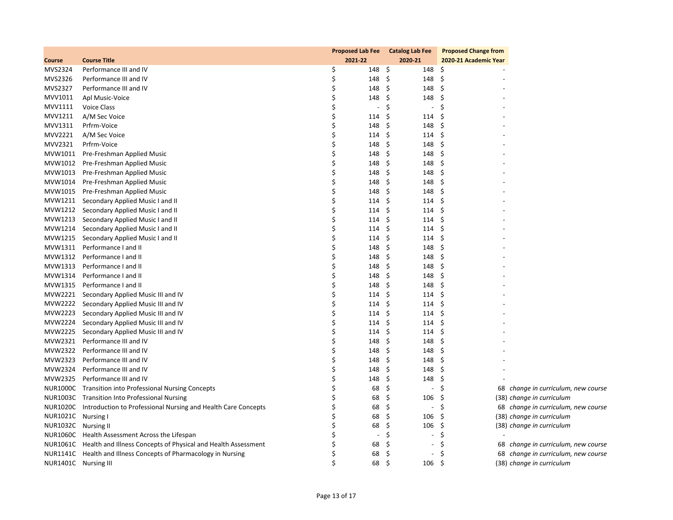|                      |                                                                        |    | <b>Proposed Lab Fee</b>  |      | <b>Catalog Lab Fee</b>       | <b>Proposed Change from</b> |                                     |
|----------------------|------------------------------------------------------------------------|----|--------------------------|------|------------------------------|-----------------------------|-------------------------------------|
| Course               | <b>Course Title</b>                                                    |    | 2021-22                  |      | 2020-21                      | 2020-21 Academic Year       |                                     |
| MVS2324              | Performance III and IV                                                 | \$ | 148 \$                   |      | 148                          | \$                          |                                     |
| MVS2326              | Performance III and IV                                                 | \$ | 148                      | - \$ | 148                          | \$                          |                                     |
| MVS2327              | Performance III and IV                                                 | \$ | 148                      | - \$ | 148                          | \$                          |                                     |
| MVV1011              | Apl Music-Voice                                                        | \$ | 148                      | -\$  | 148                          | \$                          |                                     |
| MVV1111              | <b>Voice Class</b>                                                     | \$ | $\overline{\phantom{a}}$ | \$   | $\overline{\phantom{a}}$     | \$                          |                                     |
| MVV1211              | A/M Sec Voice                                                          | \$ | 114                      | \$   | 114                          | \$                          |                                     |
| MVV1311              | Prfrm-Voice                                                            | \$ | 148                      | - \$ | 148                          | \$                          |                                     |
| MVV2221              | A/M Sec Voice                                                          | \$ | 114                      | \$   | 114                          | \$                          |                                     |
| MVV2321              | Prfrm-Voice                                                            | Ś  | 148                      | \$.  | 148                          | \$                          |                                     |
| MVW1011              | Pre-Freshman Applied Music                                             | \$ | 148                      | -\$  | 148                          | \$                          |                                     |
| MVW1012              | Pre-Freshman Applied Music                                             | \$ | 148                      | \$   | 148                          | \$                          |                                     |
| MVW1013              | Pre-Freshman Applied Music                                             | \$ | 148                      | \$   | 148                          | Ŝ.                          |                                     |
| MVW1014              | Pre-Freshman Applied Music                                             | \$ | 148                      | \$   | 148                          | \$                          |                                     |
| MVW1015              | Pre-Freshman Applied Music                                             | \$ | 148                      | \$   | 148                          | \$                          |                                     |
| MVW1211              | Secondary Applied Music I and II                                       | \$ | 114                      | \$   | 114                          | \$                          |                                     |
| MVW1212              | Secondary Applied Music I and II                                       | \$ | 114                      | \$   | 114                          | \$                          |                                     |
| MVW1213              | Secondary Applied Music I and II                                       | \$ | 114                      | \$   | 114                          | \$                          |                                     |
| MVW1214              | Secondary Applied Music I and II                                       | \$ | 114                      | \$   | 114                          | \$                          |                                     |
| MVW1215              | Secondary Applied Music I and II                                       | \$ | 114                      | \$   | 114                          | \$                          |                                     |
| MVW1311              | Performance I and II                                                   | \$ | 148                      | \$   | 148                          | \$                          |                                     |
| MVW1312              | Performance I and II                                                   | \$ | 148                      | \$   | 148                          | \$                          |                                     |
| MVW1313              | Performance I and II                                                   | \$ | 148                      | \$   | 148                          | \$                          |                                     |
| MVW1314              | Performance I and II                                                   | \$ | 148                      | \$   | 148                          | \$                          |                                     |
| MVW1315              | Performance I and II                                                   | \$ | 148                      | \$   | 148                          | \$                          |                                     |
| MVW2221              | Secondary Applied Music III and IV                                     | \$ | 114                      | \$   | 114                          | \$                          |                                     |
|                      | MVW2222 Secondary Applied Music III and IV                             | \$ | 114                      | -\$  | 114                          | \$                          |                                     |
| MVW2223              | Secondary Applied Music III and IV                                     | \$ | 114                      | \$   | 114                          | \$                          |                                     |
| MVW2224              | Secondary Applied Music III and IV                                     | \$ | 114                      | \$   | 114                          | \$                          |                                     |
| MVW2225              | Secondary Applied Music III and IV                                     | \$ | $114 \; \text{S}$        |      | 114                          | \$                          |                                     |
| MVW2321              | Performance III and IV                                                 | \$ | 148                      | \$   | 148                          | Ŝ.                          |                                     |
| MVW2322              | Performance III and IV                                                 | \$ | 148                      | \$   | 148                          | \$                          |                                     |
| MVW2323              | Performance III and IV                                                 | \$ | 148                      | \$   | 148                          | \$                          |                                     |
| MVW2324              | Performance III and IV                                                 | \$ | 148                      | -\$  | 148                          | \$                          |                                     |
| MVW2325              | Performance III and IV                                                 | Ś  | 148                      | \$   | 148                          | \$                          |                                     |
|                      | NUR1000C Transition into Professional Nursing Concepts                 | Ś  | 68                       | \$   | $\overline{\phantom{a}}$     | \$                          | 68 change in curriculum, new course |
|                      | NUR1003C Transition Into Professional Nursing                          | \$ | 68                       | \$   | 106                          | \$                          | (38) change in curriculum           |
| NUR1020C             | Introduction to Professional Nursing and Health Care Concepts          | Ś  | 68                       | \$   | $\qquad \qquad \blacksquare$ | \$                          | 68 change in curriculum, new course |
| NUR1021C Nursing I   |                                                                        |    | 68                       | \$   | 106                          | \$                          | (38) change in curriculum           |
| NUR1032C             | Nursing II                                                             | \$ | 68                       | \$   | 106                          | \$                          | (38) change in curriculum           |
|                      | NUR1060C Health Assessment Across the Lifespan                         | Ś  | $\overline{\phantom{a}}$ | \$   |                              | \$                          |                                     |
|                      | NUR1061C Health and Illness Concepts of Physical and Health Assessment | \$ | 68                       | \$   | $\blacksquare$               | \$                          | 68 change in curriculum, new course |
|                      | NUR1141C Health and Illness Concepts of Pharmacology in Nursing        | \$ | 68                       | Ŝ.   | $\overline{a}$               | \$                          | 68 change in curriculum, new course |
| NUR1401C Nursing III |                                                                        | \$ | 68                       | - \$ | 106                          | \$                          | (38) change in curriculum           |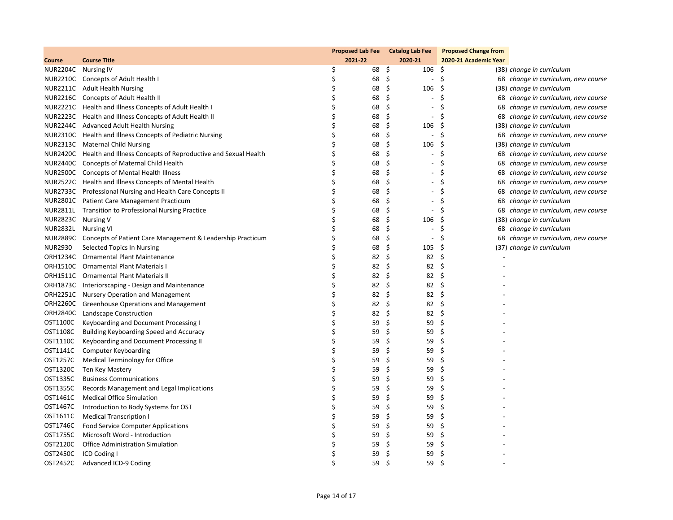|                     |                                                                        | Proposed Lab Fee Catalog Lab Fee |    |                                | <b>Proposed Change from</b> |                                     |
|---------------------|------------------------------------------------------------------------|----------------------------------|----|--------------------------------|-----------------------------|-------------------------------------|
| Course              | <b>Course Title</b>                                                    | 2021-22                          |    | 2020-21                        | 2020-21 Academic Year       |                                     |
| NUR2204C Nursing IV |                                                                        | \$                               | 68 | \$<br>106                      | -\$                         | (38) change in curriculum           |
|                     | NUR2210C Concepts of Adult Health I                                    | \$                               | 68 | \$<br>$\overline{\phantom{a}}$ | \$                          | 68 change in curriculum, new course |
|                     | NUR2211C Adult Health Nursing                                          | Ś                                | 68 | \$<br>106                      | \$.                         | (38) change in curriculum           |
|                     | NUR2216C Concepts of Adult Health II                                   | \$                               | 68 | \$<br>$\overline{\phantom{a}}$ | \$                          | 68 change in curriculum, new course |
|                     | NUR2221C Health and Illness Concepts of Adult Health I                 | \$                               | 68 | \$<br>$\overline{\phantom{a}}$ | Ś                           | 68 change in curriculum, new course |
|                     | NUR2223C Health and Illness Concepts of Adult Health II                | Ś                                | 68 | \$<br>$\overline{\phantom{a}}$ | Ś                           | 68 change in curriculum, new course |
|                     | NUR2244C Advanced Adult Health Nursing                                 | \$                               | 68 | \$<br>106                      | \$                          | (38) change in curriculum           |
|                     | NUR2310C Health and Illness Concepts of Pediatric Nursing              | \$                               | 68 | \$                             | \$                          | 68 change in curriculum, new course |
|                     | NUR2313C Maternal Child Nursing                                        | Ś                                | 68 | \$<br>106                      | S                           | (38) change in curriculum           |
|                     | NUR2420C Health and Illness Concepts of Reproductive and Sexual Health | \$                               | 68 | \$<br>$\overline{\phantom{a}}$ | \$                          | 68 change in curriculum, new course |
|                     | NUR2440C Concepts of Maternal Child Health                             | \$                               | 68 | \$                             | Ś                           | 68 change in curriculum, new course |
|                     | NUR2500C Concepts of Mental Health Illness                             | Ś                                | 68 | \$<br>$\overline{\phantom{a}}$ | S                           | 68 change in curriculum, new course |
|                     | NUR2522C Health and Illness Concepts of Mental Health                  | \$                               | 68 | \$<br>$\overline{\phantom{a}}$ | \$                          | 68 change in curriculum, new course |
|                     | NUR2733C Professional Nursing and Health Care Concepts II              | \$                               | 68 | \$<br>$\overline{\phantom{a}}$ | Ś                           | 68 change in curriculum, new course |
|                     | NUR2801C Patient Care Management Practicum                             | Ś                                | 68 | \$<br>$\overline{\phantom{a}}$ | Ś                           | 68 change in curriculum             |
|                     | NUR2811L Transition to Professional Nursing Practice                   | \$                               | 68 | \$<br>$\blacksquare$           | \$                          | 68 change in curriculum, new course |
| NUR2823C Nursing V  |                                                                        | \$                               | 68 | \$<br>106                      | \$                          | (38) change in curriculum           |
| <b>NUR2832L</b>     | <b>Nursing VI</b>                                                      | Ś                                | 68 | \$<br>$\overline{\phantom{a}}$ | S                           | 68 change in curriculum             |
|                     | NUR2889C Concepts of Patient Care Management & Leadership Practicum    | \$                               | 68 | \$<br>$\blacksquare$           | Ś                           | 68 change in curriculum, new course |
| <b>NUR2930</b>      | Selected Topics In Nursing                                             | Ś                                | 68 | \$<br>105                      | \$                          | (37) change in curriculum           |
| ORH1234C            | Ornamental Plant Maintenance                                           | \$                               | 82 | \$<br>82                       | \$                          |                                     |
| ORH1510C            | <b>Ornamental Plant Materials I</b>                                    | \$                               | 82 | \$<br>82                       | \$                          |                                     |
|                     | ORH1511C Ornamental Plant Materials II                                 | \$                               | 82 | \$<br>82                       | \$                          |                                     |
| ORH1873C            | Interiorscaping - Design and Maintenance                               | \$                               | 82 | \$<br>82                       | \$                          |                                     |
|                     | ORH2251C Nursery Operation and Management                              | \$                               | 82 | \$<br>82                       | Ŝ.                          |                                     |
| ORH2260C            | <b>Greenhouse Operations and Management</b>                            | \$                               | 82 | \$<br>82                       | \$                          |                                     |
| <b>ORH2840C</b>     | Landscape Construction                                                 | \$                               | 82 | \$<br>82                       | \$                          |                                     |
| OST1100C            | Keyboarding and Document Processing I                                  | \$                               | 59 | \$<br>59                       | \$                          |                                     |
| OST1108C            | Building Keyboarding Speed and Accuracy                                | \$                               | 59 | \$<br>59                       | \$                          |                                     |
| OST1110C            | Keyboarding and Document Processing II                                 | Ś                                | 59 | \$<br>59                       | \$                          |                                     |
| OST1141C            | <b>Computer Keyboarding</b>                                            | \$                               | 59 | \$<br>59                       | \$                          |                                     |
| OST1257C            | Medical Terminology for Office                                         | Ś                                | 59 | \$<br>59                       | \$                          |                                     |
| OST1320C            | Ten Key Mastery                                                        | Ś                                | 59 | \$<br>59                       | \$                          |                                     |
| OST1335C            | <b>Business Communications</b>                                         | \$                               | 59 | \$<br>59                       | \$                          |                                     |
| OST1355C            | Records Management and Legal Implications                              | Ś                                | 59 | \$<br>59                       | \$                          |                                     |
| OST1461C            | <b>Medical Office Simulation</b>                                       | Ś                                | 59 | \$<br>59                       | \$                          |                                     |
| OST1467C            | Introduction to Body Systems for OST                                   | \$                               | 59 | \$<br>59                       | \$                          |                                     |
| OST1611C            | <b>Medical Transcription I</b>                                         | Ś                                | 59 | \$<br>59                       | \$                          |                                     |
| OST1746C            | <b>Food Service Computer Applications</b>                              | Ś                                | 59 | \$<br>59                       | \$                          |                                     |
| OST1755C            | Microsoft Word - Introduction                                          | \$                               | 59 | \$<br>59                       | \$                          |                                     |
| OST2120C            | Office Administration Simulation                                       | \$                               | 59 | \$<br>59                       | \$                          |                                     |
| OST2450C            | ICD Coding I                                                           | \$                               | 59 | \$<br>59                       | \$                          |                                     |
| OST2452C            | Advanced ICD-9 Coding                                                  | Ś                                | 59 | Ś<br>59                        | \$                          |                                     |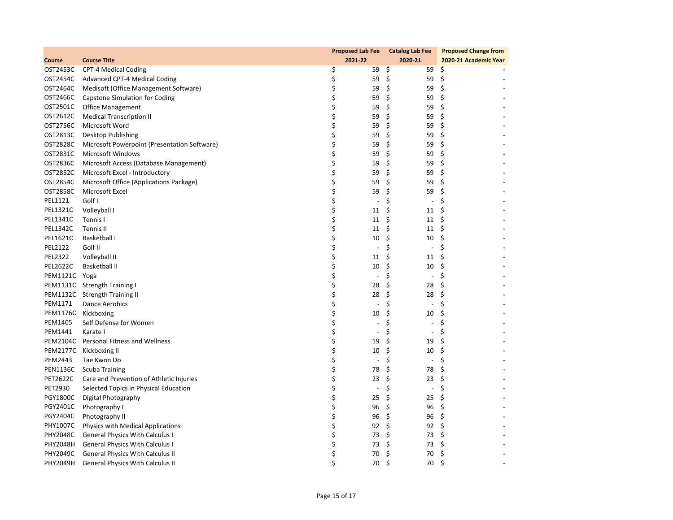|                 |                                              | <b>Proposed Lab Fee</b> |                          | <b>Catalog Lab Fee</b>         | <b>Proposed Change from</b> |
|-----------------|----------------------------------------------|-------------------------|--------------------------|--------------------------------|-----------------------------|
| <b>Course</b>   | <b>Course Title</b>                          | 2021-22                 |                          | 2020-21                        | 2020-21 Academic Year       |
| OST2453C        | <b>CPT-4 Medical Coding</b>                  | \$                      | 59                       | \$<br>59                       | - \$                        |
| OST2454C        | Advanced CPT-4 Medical Coding                | \$                      | 59                       | \$<br>59                       | \$                          |
| OST2464C        | Medisoft (Office Management Software)        | \$                      | 59                       | \$<br>59                       | \$                          |
| OST2466C        | Capstone Simulation for Coding               | \$                      | 59                       | - \$<br>59                     | -\$                         |
| OST2501C        | <b>Office Management</b>                     | \$                      | 59                       | \$<br>59                       | \$                          |
| OST2612C        | <b>Medical Transcription II</b>              | \$                      | 59                       | \$<br>59                       | \$                          |
| OST2756C        | Microsoft Word                               | \$                      | 59                       | \$<br>59                       | \$                          |
| OST2813C        | Desktop Publishing                           | \$                      | 59                       | \$<br>59                       | \$                          |
| OST2828C        | Microsoft Powerpoint (Presentation Software) | \$                      | 59                       | \$<br>59                       | \$                          |
| OST2831C        | <b>Microsoft Windows</b>                     | \$                      | 59                       | \$<br>59                       | \$                          |
| OST2836C        | Microsoft Access (Database Management)       | \$                      | 59                       | \$<br>59                       | \$                          |
| OST2852C        | Microsoft Excel - Introductory               | \$                      | 59                       | \$<br>59                       | \$                          |
| OST2854C        | Microsoft Office (Applications Package)      | \$                      | 59                       | \$<br>59                       | \$                          |
| <b>OST2858C</b> | Microsoft Excel                              | \$                      | 59                       | \$<br>59                       | \$                          |
| PEL1121         | Golf I                                       | \$                      | $\overline{\phantom{a}}$ | \$<br>$\overline{\phantom{a}}$ | \$                          |
| <b>PEL1321C</b> | Volleyball I                                 | \$                      | 11                       | \$<br>11                       | \$                          |
| PEL1341C        | Tennis I                                     | \$                      | 11                       | \$<br>11                       | \$                          |
| PEL1342C        | Tennis II                                    | \$                      | 11                       | \$<br>11                       | -\$                         |
| PEL1621C        | Basketball I                                 | \$                      | 10                       | \$<br>10                       | \$                          |
| <b>PEL2122</b>  | Golf II                                      | \$                      | $\overline{a}$           | \$<br>$\overline{\phantom{a}}$ | \$                          |
| <b>PEL2322</b>  | Volleyball II                                | \$                      | 11                       | \$<br>11                       | \$                          |
| <b>PEL2622C</b> | Basketball II                                | \$                      | 10                       | \$<br>10                       | \$                          |
| PEM1121C Yoga   |                                              | \$                      | $\overline{\phantom{a}}$ | \$<br>$\overline{\phantom{a}}$ | \$                          |
|                 | PEM1131C Strength Training I                 | \$                      | 28                       | \$<br>28                       | \$                          |
|                 | PEM1132C Strength Training II                | \$                      | 28                       | \$<br>28                       | \$                          |
| PEM1171         | Dance Aerobics                               | \$                      | $\overline{\phantom{a}}$ | \$<br>$\overline{\phantom{a}}$ | \$                          |
| PEM1176C        | Kickboxing                                   | \$                      | 10                       | \$<br>10                       | \$                          |
| PEM1405         | Self Defense for Women                       | \$                      | $\overline{\phantom{a}}$ | \$<br>$\overline{\phantom{a}}$ | \$                          |
| PEM1441         | Karate I                                     | \$                      | $\overline{\phantom{a}}$ | \$<br>$\overline{\phantom{a}}$ | \$                          |
| PEM2104C        | <b>Personal Fitness and Wellness</b>         | \$                      | 19                       | \$<br>19                       | \$                          |
|                 | PEM2177C Kickboxing II                       | \$                      | 10                       | \$<br>10                       | \$                          |
| PEM2443         | Tae Kwon Do                                  | \$                      | $\overline{\phantom{a}}$ | \$<br>$\overline{\phantom{a}}$ | \$                          |
| <b>PEN1136C</b> | <b>Scuba Training</b>                        | \$                      | 78                       | \$<br>78                       | \$                          |
| <b>PET2622C</b> | Care and Prevention of Athletic Injuries     | \$                      | 23                       | \$<br>23                       | \$                          |
| PET2930         | Selected Topics in Physical Education        | \$                      | $\overline{\phantom{a}}$ | \$<br>$\overline{\phantom{a}}$ | \$                          |
| <b>PGY1800C</b> | Digital Photography                          | \$                      | 25                       | \$<br>25                       | \$                          |
| PGY2401C        | Photography I                                | \$                      | 96                       | \$<br>96                       | \$                          |
| PGY2404C        | Photography II                               | \$                      | 96                       | \$<br>96                       | \$                          |
| <b>PHY1007C</b> | Physics with Medical Applications            | \$                      | 92                       | \$<br>92                       | -\$                         |
| <b>PHY2048C</b> | <b>General Physics With Calculus I</b>       | \$                      | 73                       | \$<br>73                       | \$                          |
| PHY2048H        | <b>General Physics With Calculus I</b>       | \$                      | 73                       | \$<br>73                       | \$                          |
| <b>PHY2049C</b> | <b>General Physics With Calculus II</b>      | \$                      | 70                       | \$<br>70                       | \$                          |
| PHY2049H        | <b>General Physics With Calculus II</b>      | \$                      | 70                       | Ś.<br>70                       | \$                          |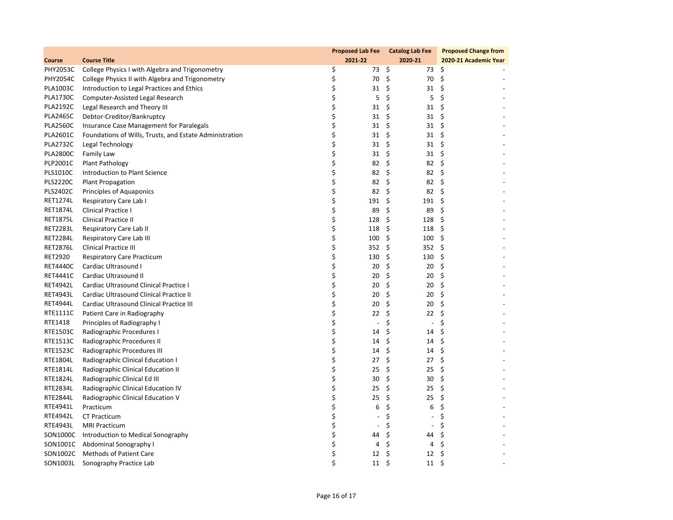|                 |                                                         | <b>Proposed Lab Fee</b>     | <b>Catalog Lab Fee</b>         | <b>Proposed Change from</b> |
|-----------------|---------------------------------------------------------|-----------------------------|--------------------------------|-----------------------------|
| Course          | <b>Course Title</b>                                     | 2021-22                     | 2020-21                        | 2020-21 Academic Year       |
| PHY2053C        | College Physics I with Algebra and Trigonometry         | \$<br>73\$                  | 73 \$                          |                             |
| <b>PHY2054C</b> | College Physics II with Algebra and Trigonometry        | \$<br>70                    | \$<br>70                       | \$                          |
| <b>PLA1003C</b> | Introduction to Legal Practices and Ethics              | \$<br>31                    | \$<br>31                       | \$                          |
| <b>PLA1730C</b> | Computer-Assisted Legal Research                        | \$<br>5                     | \$<br>5                        | \$                          |
| <b>PLA2192C</b> | Legal Research and Theory III                           | \$<br>31                    | \$<br>31                       | \$                          |
| <b>PLA2465C</b> | Debtor-Creditor/Bankruptcy                              | \$<br>31                    | \$<br>31                       | \$                          |
| <b>PLA2560C</b> | Insurance Case Management for Paralegals                | \$<br>31                    | \$<br>31                       | \$                          |
| <b>PLA2601C</b> | Foundations of Wills, Trusts, and Estate Administration | \$<br>31                    | \$<br>31                       | \$                          |
| <b>PLA2732C</b> | Legal Technology                                        | \$<br>31                    | \$<br>31                       | \$                          |
| <b>PLA2800C</b> | Family Law                                              | \$<br>31                    | \$<br>31                       | -\$                         |
| PLP2001C        | Plant Pathology                                         | \$<br>82                    | \$<br>82                       | \$                          |
| <b>PLS1010C</b> | Introduction to Plant Science                           | \$<br>82                    | \$<br>82                       | \$                          |
| <b>PLS2220C</b> | <b>Plant Propagation</b>                                | \$<br>82                    | \$<br>82                       | \$                          |
| <b>PLS2402C</b> | Principles of Aquaponics                                | \$<br>82                    | \$<br>82                       | \$                          |
| <b>RET1274L</b> | Respiratory Care Lab I                                  | \$<br>191                   | \$<br>191                      | \$                          |
| <b>RET1874L</b> | Clinical Practice I                                     | \$<br>89                    | \$<br>89                       | \$                          |
| <b>RET1875L</b> | <b>Clinical Practice II</b>                             | \$<br>128                   | \$<br>128                      | \$                          |
| <b>RET2283L</b> | Respiratory Care Lab II                                 | \$<br>118                   | \$<br>118                      | \$                          |
| <b>RET2284L</b> | Respiratory Care Lab III                                | \$<br>100                   | \$<br>100                      | \$                          |
| <b>RET2876L</b> | <b>Clinical Practice III</b>                            | \$<br>352                   | \$<br>352                      | \$                          |
| RET2920         | <b>Respiratory Care Practicum</b>                       | \$<br>130                   | \$<br>130                      | \$                          |
| <b>RET4440C</b> | Cardiac Ultrasound I                                    | \$<br>20                    | \$<br>20                       | \$                          |
| <b>RET4441C</b> | Cardiac Ultrasound II                                   | \$<br>20                    | \$<br>20                       | \$                          |
| <b>RET4942L</b> | Cardiac Ultrasound Clinical Practice I                  | \$<br>20                    | \$<br>20                       | \$                          |
| <b>RET4943L</b> | Cardiac Ultrasound Clinical Practice II                 | \$<br>20                    | \$<br>20                       | \$                          |
| <b>RET4944L</b> | Cardiac Ultrasound Clinical Practice III                | \$<br>20                    | \$<br>20                       | \$                          |
| RTE1111C        | Patient Care in Radiography                             | \$<br>22                    | \$<br>22                       | \$                          |
| RTE1418         | Principles of Radiography I                             | \$<br>$\tilde{\phantom{a}}$ | \$<br>$\overline{\phantom{a}}$ | \$                          |
| RTE1503C        | Radiographic Procedures I                               | \$<br>14                    | \$<br>14                       | \$                          |
| <b>RTE1513C</b> | Radiographic Procedures II                              | \$<br>14                    | \$<br>14                       | \$                          |
| <b>RTE1523C</b> | Radiographic Procedures III                             | \$<br>14                    | \$<br>14                       | \$                          |
| RTE1804L        | Radiographic Clinical Education I                       | \$<br>27                    | \$<br>27                       | \$                          |
| RTE1814L        | Radiographic Clinical Education II                      | \$<br>25                    | \$<br>25                       | \$                          |
| RTE1824L        | Radiographic Clinical Ed III                            | \$<br>30                    | \$<br>30                       | \$                          |
| <b>RTE2834L</b> | Radiographic Clinical Education IV                      | \$<br>25                    | \$<br>25                       | \$                          |
| <b>RTE2844L</b> | Radiographic Clinical Education V                       | \$<br>25                    | \$<br>25                       | \$                          |
| RTE4941L        | Practicum                                               | \$<br>6                     | \$<br>6                        | \$                          |
| <b>RTE4942L</b> | <b>CT Practicum</b>                                     | \$                          | \$<br>$\overline{a}$           | \$                          |
| <b>RTE4943L</b> | <b>MRI Practicum</b>                                    | \$<br>$\overline{a}$        | \$<br>$\overline{a}$           | \$                          |
| SON1000C        | Introduction to Medical Sonography                      | \$<br>44                    | \$<br>44                       | \$                          |
| SON1001C        | Abdominal Sonography I                                  | \$<br>4                     | \$<br>4                        | \$                          |
| SON1002C        | <b>Methods of Patient Care</b>                          | \$<br>12                    | \$<br>12                       | \$                          |
| SON1003L        | Sonography Practice Lab                                 | \$<br>11                    | \$<br>11                       | \$                          |